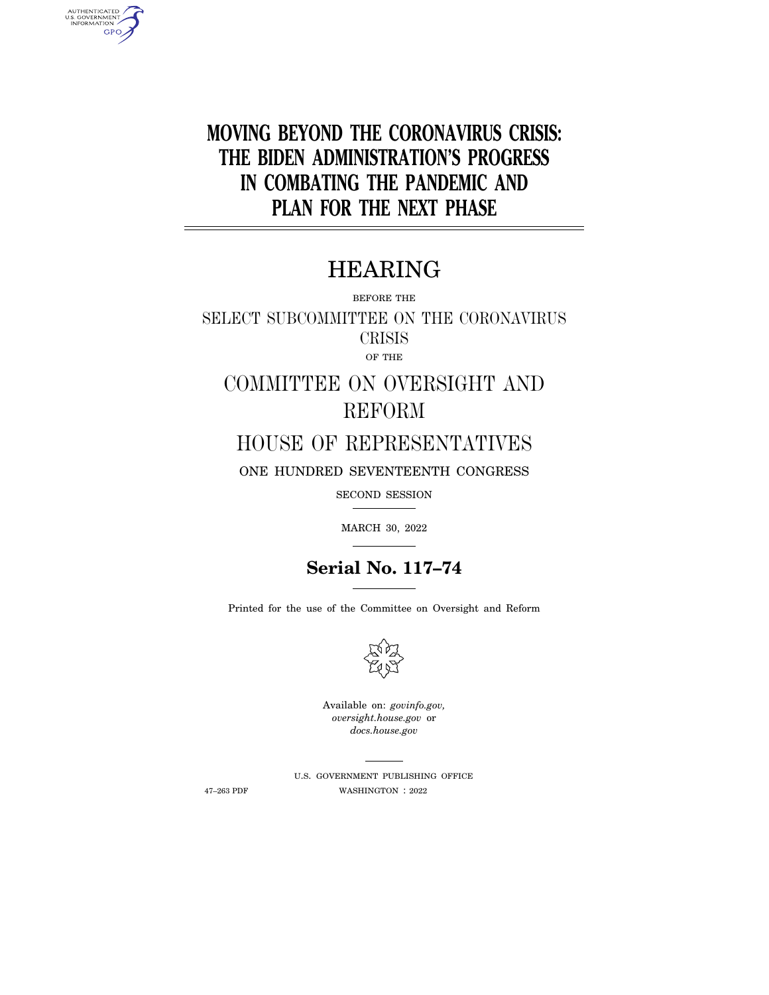**MOVING BEYOND THE CORONAVIRUS CRISIS: THE BIDEN ADMINISTRATION'S PROGRESS IN COMBATING THE PANDEMIC AND PLAN FOR THE NEXT PHASE** 

# HEARING

BEFORE THE

SELECT SUBCOMMITTEE ON THE CORONAVIRUS CRISIS OF THE

COMMITTEE ON OVERSIGHT AND REFORM

HOUSE OF REPRESENTATIVES

ONE HUNDRED SEVENTEENTH CONGRESS

SECOND SESSION

MARCH 30, 2022



Printed for the use of the Committee on Oversight and Reform



Available on: *govinfo.gov, oversight.house.gov* or *docs.house.gov* 

AUTHENTICATED<br>U.S. GOVERNMENT<br>INFORMATION **GPO** 

> U.S. GOVERNMENT PUBLISHING OFFICE 47–263 PDF WASHINGTON : 2022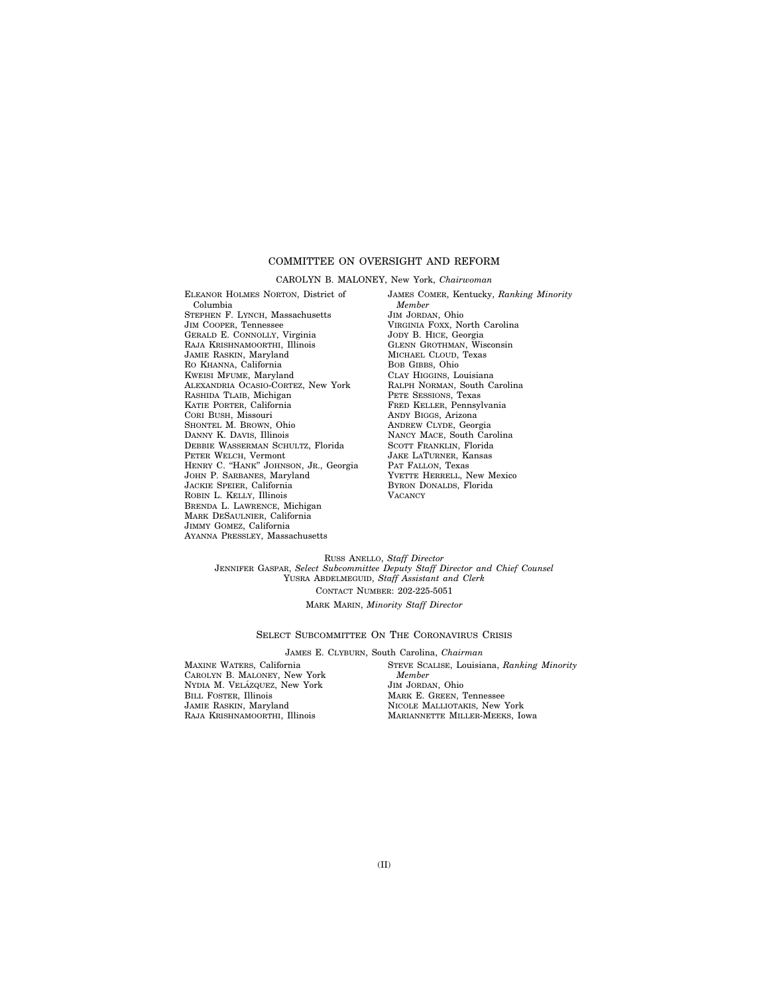#### COMMITTEE ON OVERSIGHT AND REFORM

#### CAROLYN B. MALONEY, New York, *Chairwoman*

ELEANOR HOLMES NORTON, District of Columbia STEPHEN F. LYNCH, Massachusetts JIM COOPER, Tennessee GERALD E. CONNOLLY, Virginia RAJA KRISHNAMOORTHI, Illinois JAMIE RASKIN, Maryland RO KHANNA, California KWEISI MFUME, Maryland ALEXANDRIA OCASIO-CORTEZ, New York RASHIDA TLAIB, Michigan KATIE PORTER, California CORI BUSH, Missouri SHONTEL M. BROWN, Ohio DANNY K. DAVIS, Illinois DEBBIE WASSERMAN SCHULTZ, Florida PETER WELCH, Vermont HENRY C. ''HANK'' JOHNSON, JR., Georgia JOHN P. SARBANES, Maryland JACKIE SPEIER, California ROBIN L. KELLY, Illinois BRENDA L. LAWRENCE, Michigan MARK DESAULNIER, California JIMMY GOMEZ, California AYANNA PRESSLEY, Massachusetts

JAMES COMER, Kentucky, *Ranking Minority Member*  JIM JORDAN, Ohio VIRGINIA FOXX, North Carolina JODY B. HICE, Georgia GLENN GROTHMAN, Wisconsin MICHAEL CLOUD, Texas BOB GIBBS, Ohio CLAY HIGGINS, Louisiana RALPH NORMAN, South Carolina PETE SESSIONS, Texas FRED KELLER, Pennsylvania ANDY BIGGS, Arizona ANDREW CLYDE, Georgia NANCY MACE, South Carolina SCOTT FRANKLIN, Florida JAKE LATURNER, Kansas PAT FALLON, Texas YVETTE HERRELL, New Mexico BYRON DONALDS, Florida **VACANCY** 

RUSS ANELLO, *Staff Director*  JENNIFER GASPAR, *Select Subcommittee Deputy Staff Director and Chief Counsel*  YUSRA ABDELMEGUID, *Staff Assistant and Clerk*  CONTACT NUMBER: 202-225-5051 MARK MARIN, *Minority Staff Director* 

#### SELECT SUBCOMMITTEE ON THE CORONAVIRUS CRISIS

JAMES E. CLYBURN, South Carolina, *Chairman* 

MAXINE WATERS, California CAROLYN B. MALONEY, New York NYDIA M. VELÁZQUEZ, New York BILL FOSTER, Illinois JAMIE RASKIN, Maryland RAJA KRISHNAMOORTHI, Illinois

STEVE SCALISE, Louisiana, *Ranking Minority Member*  JIM JORDAN, Ohio MARK E. GREEN, Tennessee NICOLE MALLIOTAKIS, New York MARIANNETTE MILLER-MEEKS, Iowa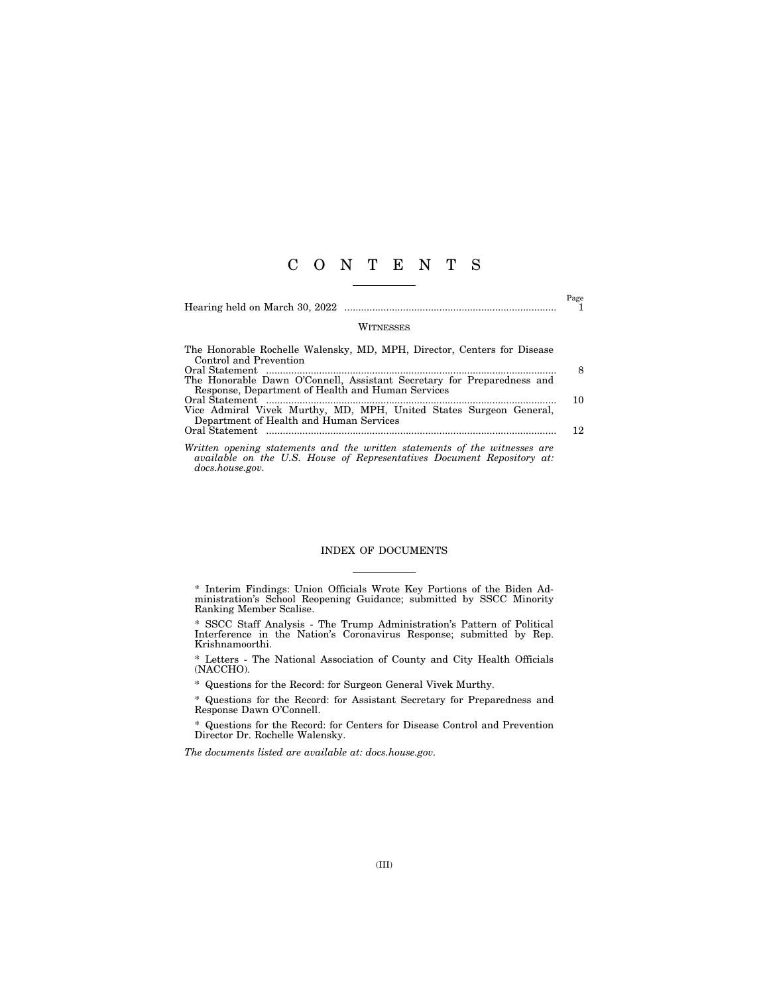### C O N T E N T S

Hearing held on March 30, 2022 ............................................................................ 1

 $_{\rm 1}^{\rm Page}$ 

#### **WITNESSES**

| The Honorable Rochelle Walensky, MD, MPH, Director, Centers for Disease    |     |
|----------------------------------------------------------------------------|-----|
| Control and Prevention                                                     |     |
|                                                                            | 8   |
| The Honorable Dawn O'Connell, Assistant Secretary for Preparedness and     |     |
| Response, Department of Health and Human Services                          |     |
|                                                                            | 10  |
| Vice Admiral Vivek Murthy, MD, MPH, United States Surgeon General,         |     |
| Department of Health and Human Services                                    |     |
|                                                                            | 12. |
|                                                                            |     |
| Written opening statements and the written statements of the witnesses are |     |

*available on the U.S. House of Representatives Document Repository at: docs.house.gov.* 

#### INDEX OF DOCUMENTS

\* SSCC Staff Analysis - The Trump Administration's Pattern of Political Interference in the Nation's Coronavirus Response; submitted by Rep. Krishnamoorthi.

\* Questions for the Record: for Surgeon General Vivek Murthy.

\* Questions for the Record: for Assistant Secretary for Preparedness and Response Dawn O'Connell.

\* Questions for the Record: for Centers for Disease Control and Prevention Director Dr. Rochelle Walensky.

*The documents listed are available at: docs.house.gov.* 

<sup>\*</sup> Interim Findings: Union Officials Wrote Key Portions of the Biden Administration's School Reopening Guidance; submitted by SSCC Minority Ranking Member Scalise.

<sup>\*</sup> Letters - The National Association of County and City Health Officials (NACCHO).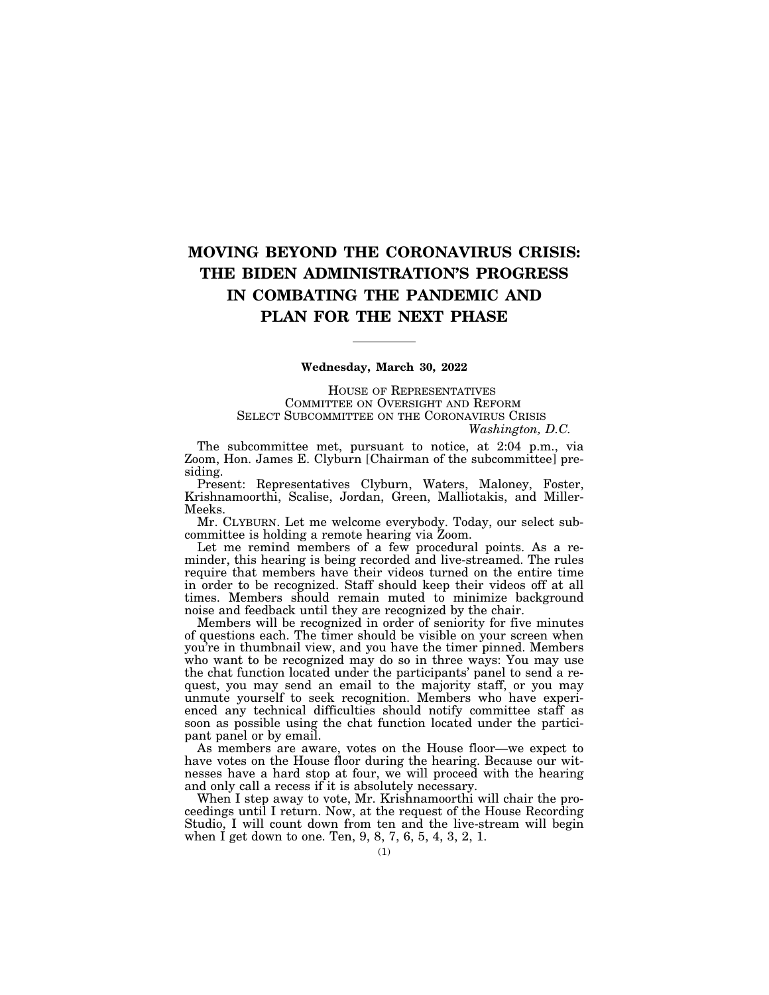## **MOVING BEYOND THE CORONAVIRUS CRISIS: THE BIDEN ADMINISTRATION'S PROGRESS IN COMBATING THE PANDEMIC AND PLAN FOR THE NEXT PHASE**

#### **Wednesday, March 30, 2022**

HOUSE OF REPRESENTATIVES COMMITTEE ON OVERSIGHT AND REFORM SELECT SUBCOMMITTEE ON THE CORONAVIRUS CRISIS *Washington, D.C.* 

The subcommittee met, pursuant to notice, at 2:04 p.m., via Zoom, Hon. James E. Clyburn [Chairman of the subcommittee] presiding.

Present: Representatives Clyburn, Waters, Maloney, Foster, Krishnamoorthi, Scalise, Jordan, Green, Malliotakis, and Miller-Meeks.

Mr. CLYBURN. Let me welcome everybody. Today, our select subcommittee is holding a remote hearing via Zoom.

Let me remind members of a few procedural points. As a reminder, this hearing is being recorded and live-streamed. The rules require that members have their videos turned on the entire time in order to be recognized. Staff should keep their videos off at all times. Members should remain muted to minimize background noise and feedback until they are recognized by the chair.

Members will be recognized in order of seniority for five minutes of questions each. The timer should be visible on your screen when you're in thumbnail view, and you have the timer pinned. Members who want to be recognized may do so in three ways: You may use the chat function located under the participants' panel to send a request, you may send an email to the majority staff, or you may unmute yourself to seek recognition. Members who have experienced any technical difficulties should notify committee staff as soon as possible using the chat function located under the participant panel or by email.

As members are aware, votes on the House floor—we expect to have votes on the House floor during the hearing. Because our witnesses have a hard stop at four, we will proceed with the hearing and only call a recess if it is absolutely necessary.

When I step away to vote, Mr. Krishnamoorthi will chair the proceedings until I return. Now, at the request of the House Recording Studio, I will count down from ten and the live-stream will begin when I get down to one. Ten, 9, 8, 7, 6, 5, 4, 3, 2, 1.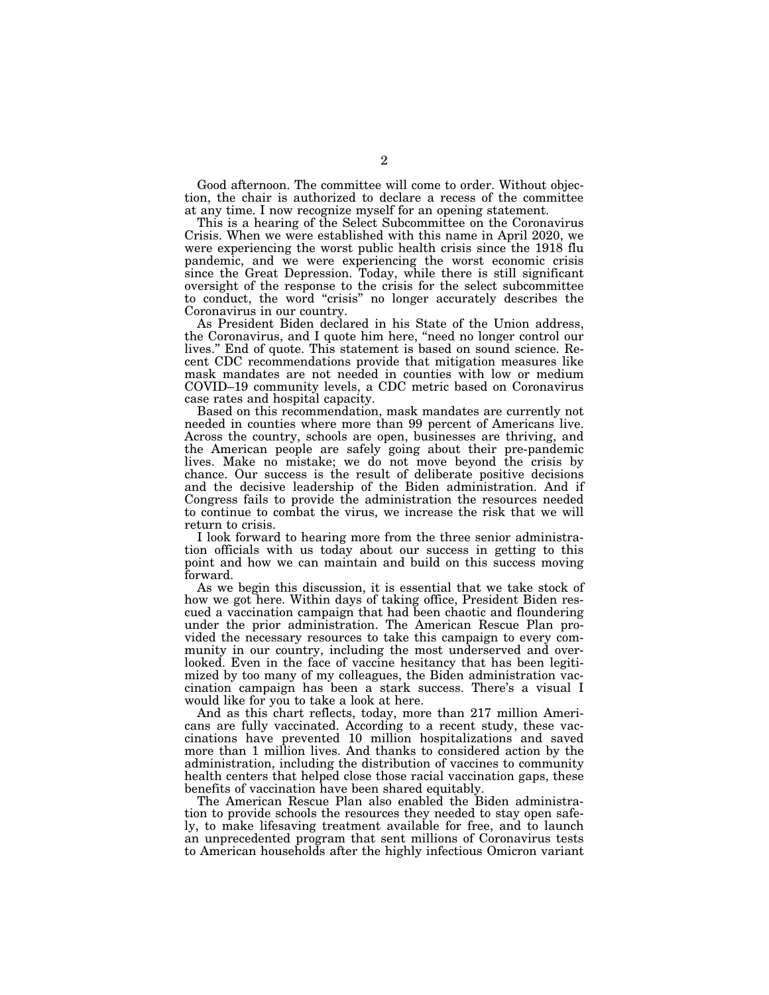Good afternoon. The committee will come to order. Without objection, the chair is authorized to declare a recess of the committee at any time. I now recognize myself for an opening statement.

This is a hearing of the Select Subcommittee on the Coronavirus Crisis. When we were established with this name in April 2020, we were experiencing the worst public health crisis since the 1918 flu pandemic, and we were experiencing the worst economic crisis since the Great Depression. Today, while there is still significant oversight of the response to the crisis for the select subcommittee to conduct, the word ''crisis'' no longer accurately describes the Coronavirus in our country.

As President Biden declared in his State of the Union address, the Coronavirus, and I quote him here, ''need no longer control our lives.'' End of quote. This statement is based on sound science. Recent CDC recommendations provide that mitigation measures like mask mandates are not needed in counties with low or medium COVID–19 community levels, a CDC metric based on Coronavirus case rates and hospital capacity.

Based on this recommendation, mask mandates are currently not needed in counties where more than 99 percent of Americans live. Across the country, schools are open, businesses are thriving, and the American people are safely going about their pre-pandemic lives. Make no mistake; we do not move beyond the crisis by chance. Our success is the result of deliberate positive decisions and the decisive leadership of the Biden administration. And if Congress fails to provide the administration the resources needed to continue to combat the virus, we increase the risk that we will return to crisis.

I look forward to hearing more from the three senior administration officials with us today about our success in getting to this point and how we can maintain and build on this success moving forward.

As we begin this discussion, it is essential that we take stock of how we got here. Within days of taking office, President Biden rescued a vaccination campaign that had been chaotic and floundering under the prior administration. The American Rescue Plan provided the necessary resources to take this campaign to every community in our country, including the most underserved and overlooked. Even in the face of vaccine hesitancy that has been legitimized by too many of my colleagues, the Biden administration vaccination campaign has been a stark success. There's a visual I would like for you to take a look at here.

And as this chart reflects, today, more than 217 million Americans are fully vaccinated. According to a recent study, these vaccinations have prevented 10 million hospitalizations and saved more than 1 million lives. And thanks to considered action by the administration, including the distribution of vaccines to community health centers that helped close those racial vaccination gaps, these benefits of vaccination have been shared equitably.

The American Rescue Plan also enabled the Biden administration to provide schools the resources they needed to stay open safely, to make lifesaving treatment available for free, and to launch an unprecedented program that sent millions of Coronavirus tests to American households after the highly infectious Omicron variant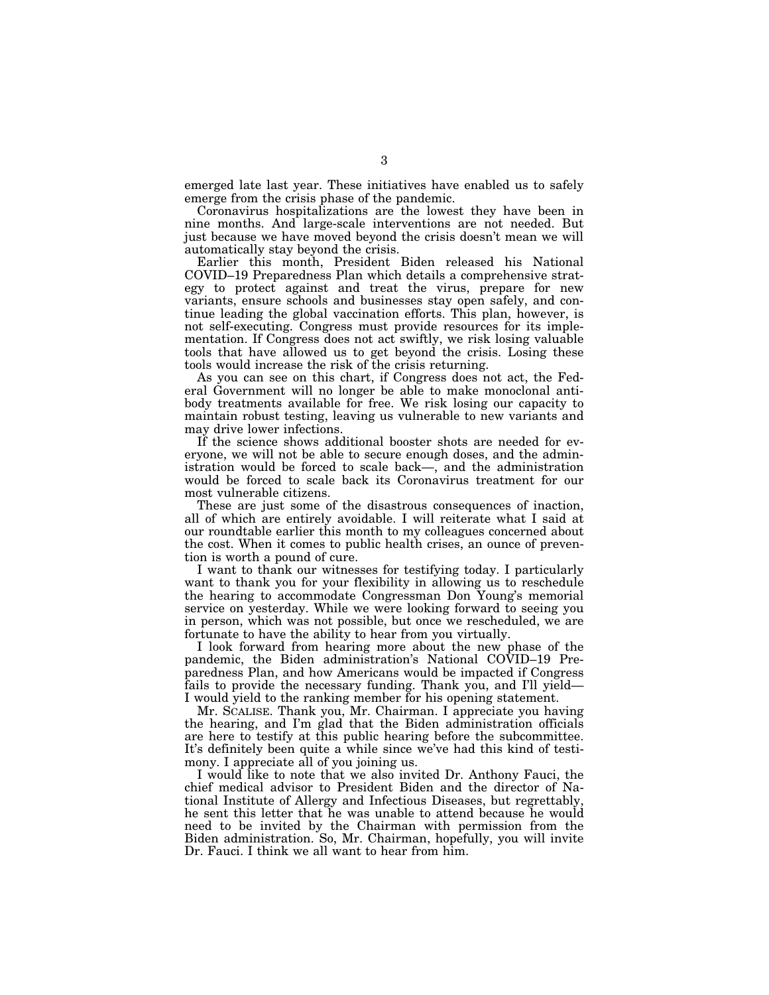emerged late last year. These initiatives have enabled us to safely emerge from the crisis phase of the pandemic.

Coronavirus hospitalizations are the lowest they have been in nine months. And large-scale interventions are not needed. But just because we have moved beyond the crisis doesn't mean we will automatically stay beyond the crisis.

Earlier this month, President Biden released his National COVID–19 Preparedness Plan which details a comprehensive strategy to protect against and treat the virus, prepare for new variants, ensure schools and businesses stay open safely, and continue leading the global vaccination efforts. This plan, however, is not self-executing. Congress must provide resources for its implementation. If Congress does not act swiftly, we risk losing valuable tools that have allowed us to get beyond the crisis. Losing these tools would increase the risk of the crisis returning.

As you can see on this chart, if Congress does not act, the Federal Government will no longer be able to make monoclonal antibody treatments available for free. We risk losing our capacity to maintain robust testing, leaving us vulnerable to new variants and may drive lower infections.

If the science shows additional booster shots are needed for everyone, we will not be able to secure enough doses, and the administration would be forced to scale back—, and the administration would be forced to scale back its Coronavirus treatment for our most vulnerable citizens.

These are just some of the disastrous consequences of inaction, all of which are entirely avoidable. I will reiterate what I said at our roundtable earlier this month to my colleagues concerned about the cost. When it comes to public health crises, an ounce of prevention is worth a pound of cure.

I want to thank our witnesses for testifying today. I particularly want to thank you for your flexibility in allowing us to reschedule the hearing to accommodate Congressman Don Young's memorial service on yesterday. While we were looking forward to seeing you in person, which was not possible, but once we rescheduled, we are fortunate to have the ability to hear from you virtually.

I look forward from hearing more about the new phase of the pandemic, the Biden administration's National COVID–19 Preparedness Plan, and how Americans would be impacted if Congress fails to provide the necessary funding. Thank you, and I'll yield— I would yield to the ranking member for his opening statement.

Mr. SCALISE. Thank you, Mr. Chairman. I appreciate you having the hearing, and I'm glad that the Biden administration officials are here to testify at this public hearing before the subcommittee. It's definitely been quite a while since we've had this kind of testimony. I appreciate all of you joining us.

I would like to note that we also invited Dr. Anthony Fauci, the chief medical advisor to President Biden and the director of National Institute of Allergy and Infectious Diseases, but regrettably, he sent this letter that he was unable to attend because he would need to be invited by the Chairman with permission from the Biden administration. So, Mr. Chairman, hopefully, you will invite Dr. Fauci. I think we all want to hear from him.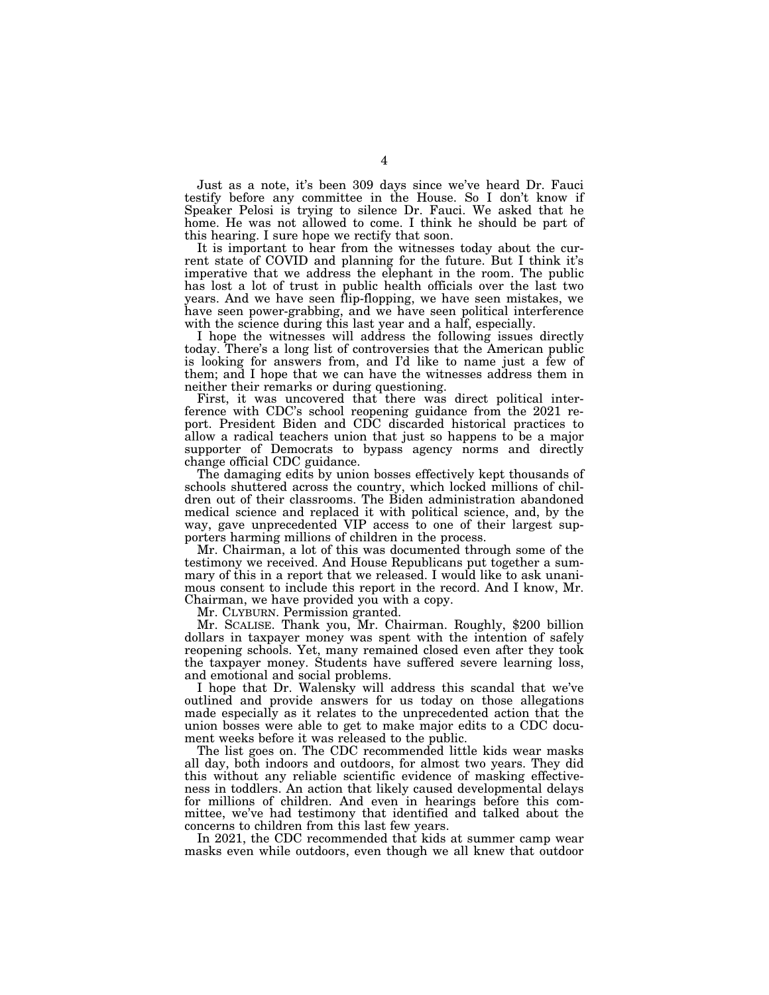Just as a note, it's been 309 days since we've heard Dr. Fauci testify before any committee in the House. So I don't know if Speaker Pelosi is trying to silence Dr. Fauci. We asked that he home. He was not allowed to come. I think he should be part of this hearing. I sure hope we rectify that soon.

It is important to hear from the witnesses today about the current state of COVID and planning for the future. But I think it's imperative that we address the elephant in the room. The public has lost a lot of trust in public health officials over the last two years. And we have seen flip-flopping, we have seen mistakes, we have seen power-grabbing, and we have seen political interference with the science during this last year and a half, especially.

I hope the witnesses will address the following issues directly today. There's a long list of controversies that the American public is looking for answers from, and I'd like to name just a few of them; and I hope that we can have the witnesses address them in neither their remarks or during questioning.

First, it was uncovered that there was direct political interference with CDC's school reopening guidance from the 2021 report. President Biden and CDC discarded historical practices to allow a radical teachers union that just so happens to be a major supporter of Democrats to bypass agency norms and directly change official CDC guidance.

The damaging edits by union bosses effectively kept thousands of schools shuttered across the country, which locked millions of children out of their classrooms. The Biden administration abandoned medical science and replaced it with political science, and, by the way, gave unprecedented VIP access to one of their largest supporters harming millions of children in the process.

Mr. Chairman, a lot of this was documented through some of the testimony we received. And House Republicans put together a summary of this in a report that we released. I would like to ask unanimous consent to include this report in the record. And I know, Mr. Chairman, we have provided you with a copy.

Mr. CLYBURN. Permission granted.

Mr. SCALISE. Thank you, Mr. Chairman. Roughly, \$200 billion dollars in taxpayer money was spent with the intention of safely reopening schools. Yet, many remained closed even after they took the taxpayer money. Students have suffered severe learning loss, and emotional and social problems.

I hope that Dr. Walensky will address this scandal that we've outlined and provide answers for us today on those allegations made especially as it relates to the unprecedented action that the union bosses were able to get to make major edits to a CDC document weeks before it was released to the public.

The list goes on. The CDC recommended little kids wear masks all day, both indoors and outdoors, for almost two years. They did this without any reliable scientific evidence of masking effectiveness in toddlers. An action that likely caused developmental delays for millions of children. And even in hearings before this committee, we've had testimony that identified and talked about the concerns to children from this last few years.

In 2021, the CDC recommended that kids at summer camp wear masks even while outdoors, even though we all knew that outdoor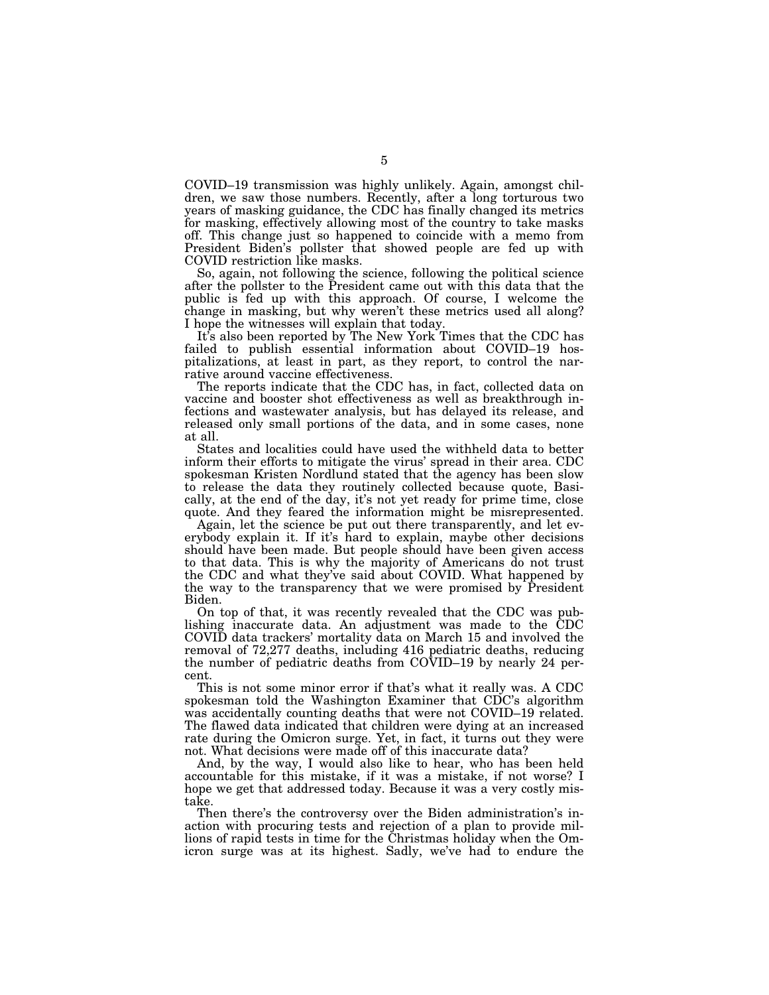COVID–19 transmission was highly unlikely. Again, amongst children, we saw those numbers. Recently, after a long torturous two years of masking guidance, the CDC has finally changed its metrics for masking, effectively allowing most of the country to take masks off. This change just so happened to coincide with a memo from President Biden's pollster that showed people are fed up with COVID restriction like masks.

So, again, not following the science, following the political science after the pollster to the President came out with this data that the public is fed up with this approach. Of course, I welcome the change in masking, but why weren't these metrics used all along? I hope the witnesses will explain that today.

It's also been reported by The New York Times that the CDC has failed to publish essential information about COVID–19 hospitalizations, at least in part, as they report, to control the narrative around vaccine effectiveness.

The reports indicate that the CDC has, in fact, collected data on vaccine and booster shot effectiveness as well as breakthrough infections and wastewater analysis, but has delayed its release, and released only small portions of the data, and in some cases, none at all.

States and localities could have used the withheld data to better inform their efforts to mitigate the virus' spread in their area. CDC spokesman Kristen Nordlund stated that the agency has been slow to release the data they routinely collected because quote, Basically, at the end of the day, it's not yet ready for prime time, close quote. And they feared the information might be misrepresented.

Again, let the science be put out there transparently, and let everybody explain it. If it's hard to explain, maybe other decisions should have been made. But people should have been given access to that data. This is why the majority of Americans do not trust the CDC and what they've said about COVID. What happened by the way to the transparency that we were promised by President Biden.

On top of that, it was recently revealed that the CDC was publishing inaccurate data. An adjustment was made to the CDC COVID data trackers' mortality data on March 15 and involved the removal of 72,277 deaths, including 416 pediatric deaths, reducing the number of pediatric deaths from COVID–19 by nearly 24 percent.

This is not some minor error if that's what it really was. A CDC spokesman told the Washington Examiner that CDC's algorithm was accidentally counting deaths that were not COVID–19 related. The flawed data indicated that children were dying at an increased rate during the Omicron surge. Yet, in fact, it turns out they were not. What decisions were made off of this inaccurate data?

And, by the way, I would also like to hear, who has been held accountable for this mistake, if it was a mistake, if not worse? I hope we get that addressed today. Because it was a very costly mistake.

Then there's the controversy over the Biden administration's inaction with procuring tests and rejection of a plan to provide millions of rapid tests in time for the Christmas holiday when the Omicron surge was at its highest. Sadly, we've had to endure the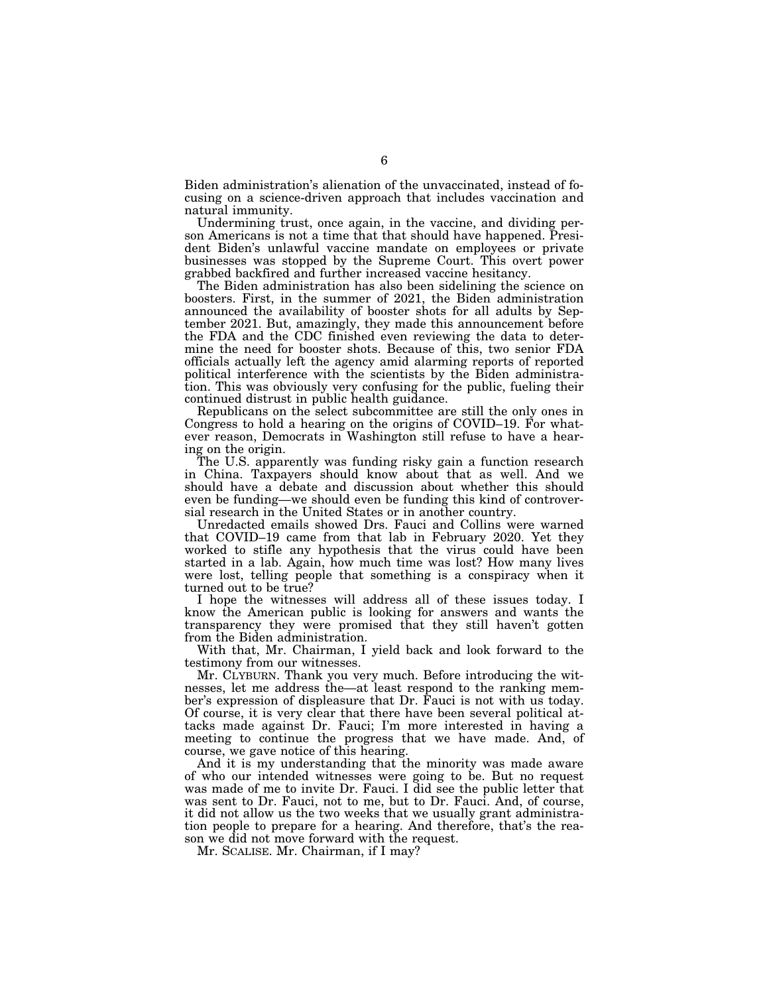Biden administration's alienation of the unvaccinated, instead of focusing on a science-driven approach that includes vaccination and natural immunity.

Undermining trust, once again, in the vaccine, and dividing person Americans is not a time that that should have happened. President Biden's unlawful vaccine mandate on employees or private businesses was stopped by the Supreme Court. This overt power grabbed backfired and further increased vaccine hesitancy.

The Biden administration has also been sidelining the science on boosters. First, in the summer of 2021, the Biden administration announced the availability of booster shots for all adults by September 2021. But, amazingly, they made this announcement before the FDA and the CDC finished even reviewing the data to determine the need for booster shots. Because of this, two senior FDA officials actually left the agency amid alarming reports of reported political interference with the scientists by the Biden administration. This was obviously very confusing for the public, fueling their continued distrust in public health guidance.

Republicans on the select subcommittee are still the only ones in Congress to hold a hearing on the origins of COVID–19. For whatever reason, Democrats in Washington still refuse to have a hearing on the origin.

The U.S. apparently was funding risky gain a function research in China. Taxpayers should know about that as well. And we should have a debate and discussion about whether this should even be funding—we should even be funding this kind of controversial research in the United States or in another country.

Unredacted emails showed Drs. Fauci and Collins were warned that COVID–19 came from that lab in February 2020. Yet they worked to stifle any hypothesis that the virus could have been started in a lab. Again, how much time was lost? How many lives were lost, telling people that something is a conspiracy when it turned out to be true?

I hope the witnesses will address all of these issues today. I know the American public is looking for answers and wants the transparency they were promised that they still haven't gotten from the Biden administration.

With that, Mr. Chairman, I yield back and look forward to the testimony from our witnesses.

Mr. CLYBURN. Thank you very much. Before introducing the witnesses, let me address the—at least respond to the ranking member's expression of displeasure that Dr. Fauci is not with us today. Of course, it is very clear that there have been several political attacks made against Dr. Fauci; I'm more interested in having a meeting to continue the progress that we have made. And, of course, we gave notice of this hearing.

And it is my understanding that the minority was made aware of who our intended witnesses were going to be. But no request was made of me to invite Dr. Fauci. I did see the public letter that was sent to Dr. Fauci, not to me, but to Dr. Fauci. And, of course, it did not allow us the two weeks that we usually grant administration people to prepare for a hearing. And therefore, that's the reason we did not move forward with the request.

Mr. SCALISE. Mr. Chairman, if I may?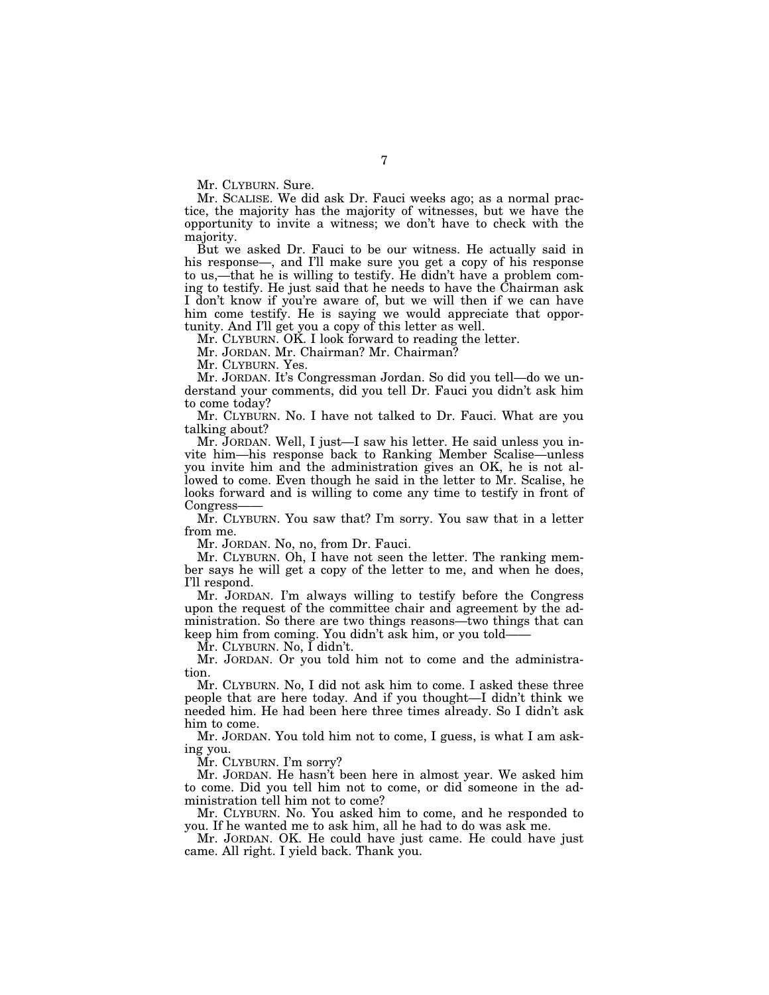Mr. CLYBURN. Sure.

Mr. SCALISE. We did ask Dr. Fauci weeks ago; as a normal practice, the majority has the majority of witnesses, but we have the opportunity to invite a witness; we don't have to check with the majority.

But we asked Dr. Fauci to be our witness. He actually said in his response—, and I'll make sure you get a copy of his response to us,—that he is willing to testify. He didn't have a problem coming to testify. He just said that he needs to have the Chairman ask I don't know if you're aware of, but we will then if we can have him come testify. He is saying we would appreciate that opportunity. And I'll get you a copy of this letter as well.

Mr. CLYBURN. OK. I look forward to reading the letter.

Mr. JORDAN. Mr. Chairman? Mr. Chairman?

Mr. CLYBURN. Yes.

Mr. JORDAN. It's Congressman Jordan. So did you tell—do we understand your comments, did you tell Dr. Fauci you didn't ask him to come today?

Mr. CLYBURN. No. I have not talked to Dr. Fauci. What are you talking about?

Mr. JORDAN. Well, I just—I saw his letter. He said unless you invite him—his response back to Ranking Member Scalise—unless you invite him and the administration gives an OK, he is not allowed to come. Even though he said in the letter to Mr. Scalise, he looks forward and is willing to come any time to testify in front of Congress-

Mr. CLYBURN. You saw that? I'm sorry. You saw that in a letter from me.

Mr. JORDAN. No, no, from Dr. Fauci.

Mr. CLYBURN. Oh, I have not seen the letter. The ranking member says he will get a copy of the letter to me, and when he does, I'll respond.

Mr. JORDAN. I'm always willing to testify before the Congress upon the request of the committee chair and agreement by the administration. So there are two things reasons—two things that can keep him from coming. You didn't ask him, or you told——

Mr. CLYBURN. No, I didn't.

Mr. JORDAN. Or you told him not to come and the administration.

Mr. CLYBURN. No, I did not ask him to come. I asked these three people that are here today. And if you thought—I didn't think we needed him. He had been here three times already. So I didn't ask him to come.

Mr. JORDAN. You told him not to come, I guess, is what I am asking you.

Mr. CLYBURN. I'm sorry?

Mr. JORDAN. He hasn't been here in almost year. We asked him to come. Did you tell him not to come, or did someone in the administration tell him not to come?

Mr. CLYBURN. No. You asked him to come, and he responded to you. If he wanted me to ask him, all he had to do was ask me.

Mr. JORDAN. OK. He could have just came. He could have just came. All right. I yield back. Thank you.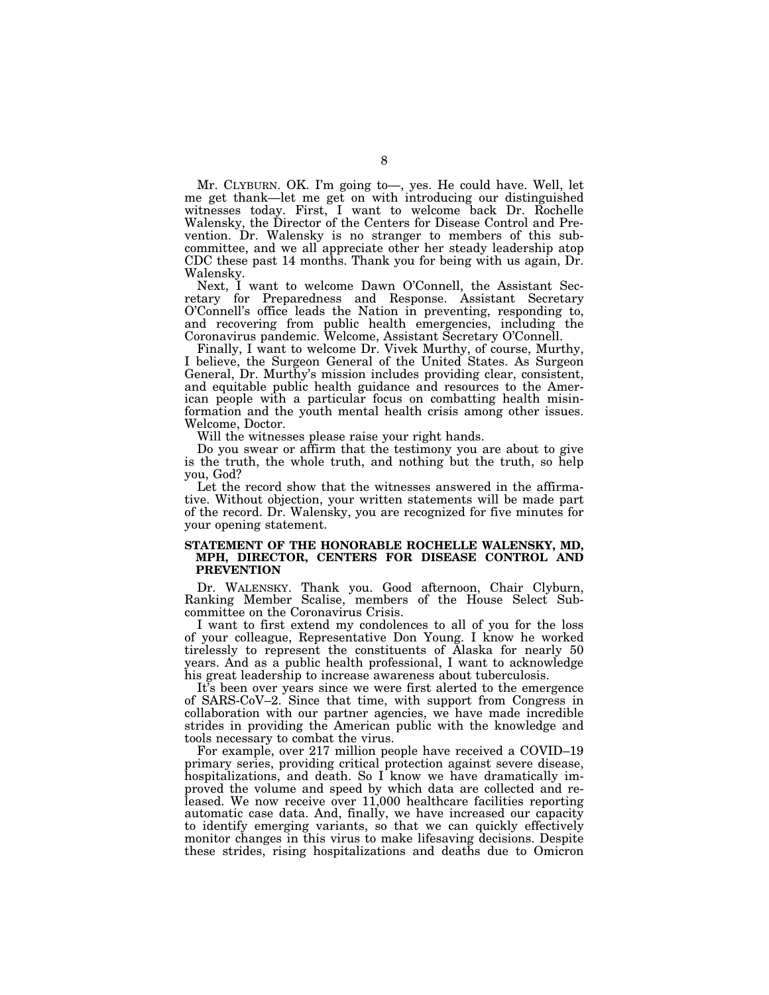Mr. CLYBURN. OK. I'm going to—, yes. He could have. Well, let me get thank—let me get on with introducing our distinguished witnesses today. First, I want to welcome back Dr. Rochelle Walensky, the Director of the Centers for Disease Control and Prevention. Dr. Walensky is no stranger to members of this subcommittee, and we all appreciate other her steady leadership atop CDC these past 14 months. Thank you for being with us again, Dr. Walensky.

Next, I want to welcome Dawn O'Connell, the Assistant Secretary for Preparedness and Response. Assistant Secretary O'Connell's office leads the Nation in preventing, responding to, and recovering from public health emergencies, including the Coronavirus pandemic. Welcome, Assistant Secretary O'Connell.

Finally, I want to welcome Dr. Vivek Murthy, of course, Murthy, I believe, the Surgeon General of the United States. As Surgeon General, Dr. Murthy's mission includes providing clear, consistent, and equitable public health guidance and resources to the American people with a particular focus on combatting health misinformation and the youth mental health crisis among other issues. Welcome, Doctor.

Will the witnesses please raise your right hands.

Do you swear or affirm that the testimony you are about to give is the truth, the whole truth, and nothing but the truth, so help you, God?

Let the record show that the witnesses answered in the affirmative. Without objection, your written statements will be made part of the record. Dr. Walensky, you are recognized for five minutes for your opening statement.

#### **STATEMENT OF THE HONORABLE ROCHELLE WALENSKY, MD, MPH, DIRECTOR, CENTERS FOR DISEASE CONTROL AND PREVENTION**

Dr. WALENSKY. Thank you. Good afternoon, Chair Clyburn, Ranking Member Scalise, members of the House Select Subcommittee on the Coronavirus Crisis.

I want to first extend my condolences to all of you for the loss of your colleague, Representative Don Young. I know he worked tirelessly to represent the constituents of Alaska for nearly 50 years. And as a public health professional, I want to acknowledge his great leadership to increase awareness about tuberculosis.

It's been over years since we were first alerted to the emergence of SARS-CoV–2. Since that time, with support from Congress in collaboration with our partner agencies, we have made incredible strides in providing the American public with the knowledge and tools necessary to combat the virus.

For example, over 217 million people have received a COVID–19 primary series, providing critical protection against severe disease, hospitalizations, and death. So I know we have dramatically improved the volume and speed by which data are collected and released. We now receive over 11,000 healthcare facilities reporting automatic case data. And, finally, we have increased our capacity to identify emerging variants, so that we can quickly effectively monitor changes in this virus to make lifesaving decisions. Despite these strides, rising hospitalizations and deaths due to Omicron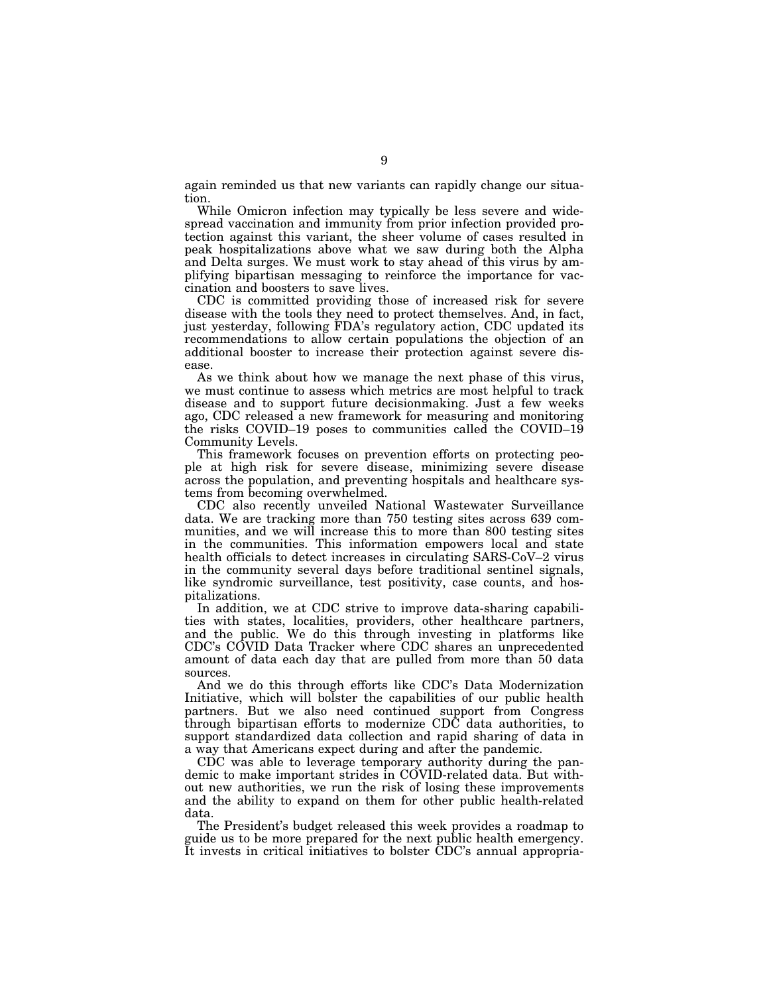again reminded us that new variants can rapidly change our situation.

While Omicron infection may typically be less severe and widespread vaccination and immunity from prior infection provided protection against this variant, the sheer volume of cases resulted in peak hospitalizations above what we saw during both the Alpha and Delta surges. We must work to stay ahead of this virus by amplifying bipartisan messaging to reinforce the importance for vaccination and boosters to save lives.

CDC is committed providing those of increased risk for severe disease with the tools they need to protect themselves. And, in fact, just yesterday, following FDA's regulatory action, CDC updated its recommendations to allow certain populations the objection of an additional booster to increase their protection against severe disease.

As we think about how we manage the next phase of this virus, we must continue to assess which metrics are most helpful to track disease and to support future decisionmaking. Just a few weeks ago, CDC released a new framework for measuring and monitoring the risks COVID–19 poses to communities called the COVID–19 Community Levels.

This framework focuses on prevention efforts on protecting people at high risk for severe disease, minimizing severe disease across the population, and preventing hospitals and healthcare systems from becoming overwhelmed.

CDC also recently unveiled National Wastewater Surveillance data. We are tracking more than 750 testing sites across 639 communities, and we will increase this to more than 800 testing sites in the communities. This information empowers local and state health officials to detect increases in circulating SARS-CoV–2 virus in the community several days before traditional sentinel signals, like syndromic surveillance, test positivity, case counts, and hospitalizations.

In addition, we at CDC strive to improve data-sharing capabilities with states, localities, providers, other healthcare partners, and the public. We do this through investing in platforms like CDC's COVID Data Tracker where CDC shares an unprecedented amount of data each day that are pulled from more than 50 data sources.

And we do this through efforts like CDC's Data Modernization Initiative, which will bolster the capabilities of our public health partners. But we also need continued support from Congress through bipartisan efforts to modernize CDC data authorities, to support standardized data collection and rapid sharing of data in a way that Americans expect during and after the pandemic.

CDC was able to leverage temporary authority during the pandemic to make important strides in COVID-related data. But without new authorities, we run the risk of losing these improvements and the ability to expand on them for other public health-related data.

The President's budget released this week provides a roadmap to guide us to be more prepared for the next public health emergency. It invests in critical initiatives to bolster CDC's annual appropria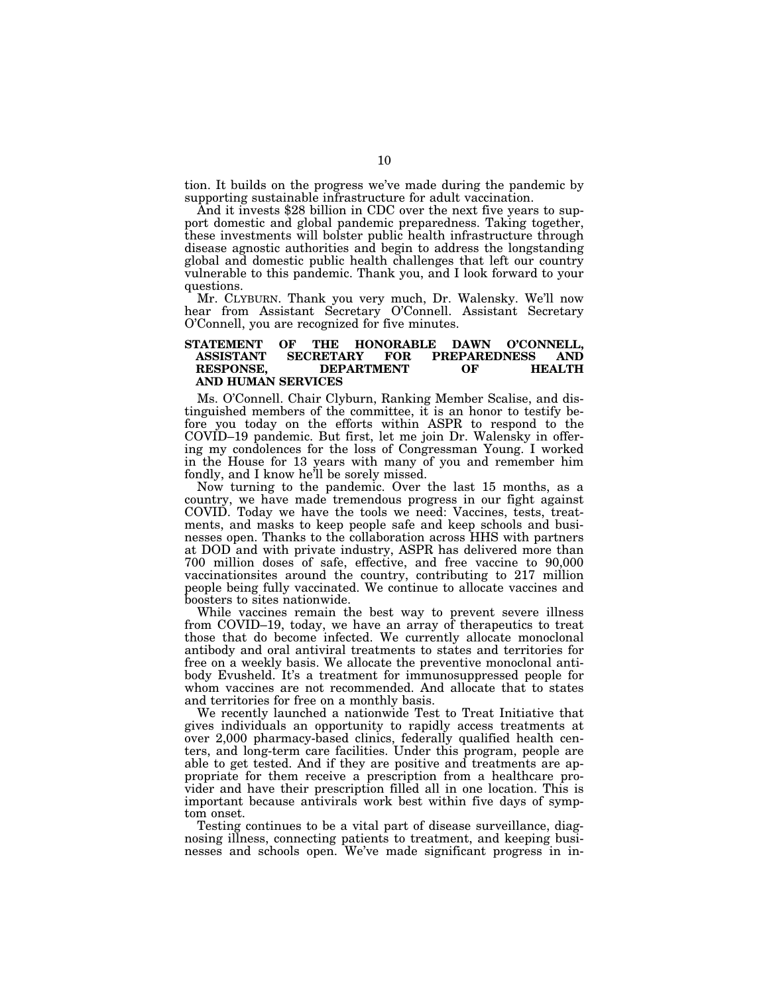tion. It builds on the progress we've made during the pandemic by

And it invests \$28 billion in CDC over the next five years to support domestic and global pandemic preparedness. Taking together, these investments will bolster public health infrastructure through disease agnostic authorities and begin to address the longstanding global and domestic public health challenges that left our country vulnerable to this pandemic. Thank you, and I look forward to your questions.

Mr. CLYBURN. Thank you very much, Dr. Walensky. We'll now hear from Assistant Secretary O'Connell. Assistant Secretary O'Connell, you are recognized for five minutes.

#### **STATEMENT OF THE HONORABLE DAWN O'CONNELL, ASSISTANT SECRETARY FOR PREPAREDNESS AND DEPARTMENT OF HEALTH AND HUMAN SERVICES**

Ms. O'Connell. Chair Clyburn, Ranking Member Scalise, and distinguished members of the committee, it is an honor to testify before you today on the efforts within ASPR to respond to the COVID–19 pandemic. But first, let me join Dr. Walensky in offering my condolences for the loss of Congressman Young. I worked in the House for 13 years with many of you and remember him fondly, and I know he'll be sorely missed.

Now turning to the pandemic. Over the last 15 months, as a country, we have made tremendous progress in our fight against COVID. Today we have the tools we need: Vaccines, tests, treatments, and masks to keep people safe and keep schools and businesses open. Thanks to the collaboration across HHS with partners at DOD and with private industry, ASPR has delivered more than 700 million doses of safe, effective, and free vaccine to 90,000 vaccinationsites around the country, contributing to 217 million people being fully vaccinated. We continue to allocate vaccines and boosters to sites nationwide.

While vaccines remain the best way to prevent severe illness from COVID–19, today, we have an array of therapeutics to treat those that do become infected. We currently allocate monoclonal antibody and oral antiviral treatments to states and territories for free on a weekly basis. We allocate the preventive monoclonal antibody Evusheld. It's a treatment for immunosuppressed people for whom vaccines are not recommended. And allocate that to states and territories for free on a monthly basis.

We recently launched a nationwide Test to Treat Initiative that gives individuals an opportunity to rapidly access treatments at over 2,000 pharmacy-based clinics, federally qualified health centers, and long-term care facilities. Under this program, people are able to get tested. And if they are positive and treatments are appropriate for them receive a prescription from a healthcare provider and have their prescription filled all in one location. This is important because antivirals work best within five days of symptom onset.

Testing continues to be a vital part of disease surveillance, diagnosing illness, connecting patients to treatment, and keeping businesses and schools open. We've made significant progress in in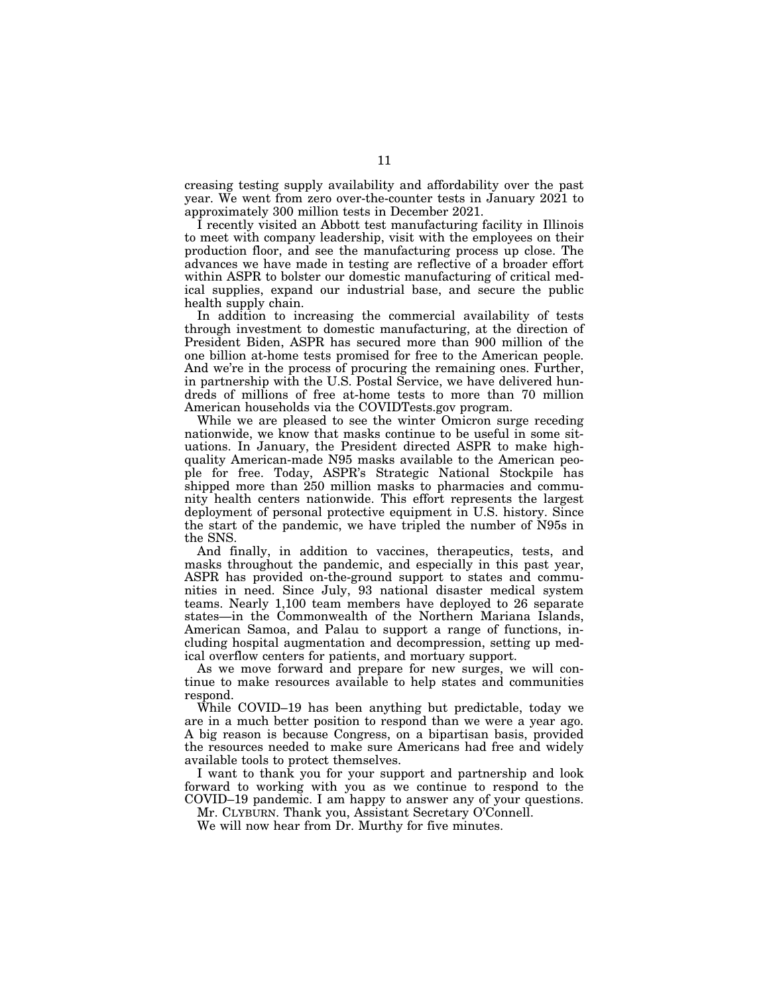creasing testing supply availability and affordability over the past year. We went from zero over-the-counter tests in January 2021 to approximately 300 million tests in December 2021.

I recently visited an Abbott test manufacturing facility in Illinois to meet with company leadership, visit with the employees on their production floor, and see the manufacturing process up close. The advances we have made in testing are reflective of a broader effort within ASPR to bolster our domestic manufacturing of critical medical supplies, expand our industrial base, and secure the public health supply chain.

In addition to increasing the commercial availability of tests through investment to domestic manufacturing, at the direction of President Biden, ASPR has secured more than 900 million of the one billion at-home tests promised for free to the American people. And we're in the process of procuring the remaining ones. Further, in partnership with the U.S. Postal Service, we have delivered hundreds of millions of free at-home tests to more than 70 million American households via the COVIDTests.gov program.

While we are pleased to see the winter Omicron surge receding nationwide, we know that masks continue to be useful in some situations. In January, the President directed ASPR to make highquality American-made N95 masks available to the American people for free. Today, ASPR's Strategic National Stockpile has shipped more than 250 million masks to pharmacies and community health centers nationwide. This effort represents the largest deployment of personal protective equipment in U.S. history. Since the start of the pandemic, we have tripled the number of N95s in the SNS.

And finally, in addition to vaccines, therapeutics, tests, and masks throughout the pandemic, and especially in this past year, ASPR has provided on-the-ground support to states and communities in need. Since July, 93 national disaster medical system teams. Nearly 1,100 team members have deployed to 26 separate states—in the Commonwealth of the Northern Mariana Islands, American Samoa, and Palau to support a range of functions, including hospital augmentation and decompression, setting up medical overflow centers for patients, and mortuary support.

As we move forward and prepare for new surges, we will continue to make resources available to help states and communities respond.

While COVID–19 has been anything but predictable, today we are in a much better position to respond than we were a year ago. A big reason is because Congress, on a bipartisan basis, provided the resources needed to make sure Americans had free and widely available tools to protect themselves.

I want to thank you for your support and partnership and look forward to working with you as we continue to respond to the COVID–19 pandemic. I am happy to answer any of your questions.

Mr. CLYBURN. Thank you, Assistant Secretary O'Connell.

We will now hear from Dr. Murthy for five minutes.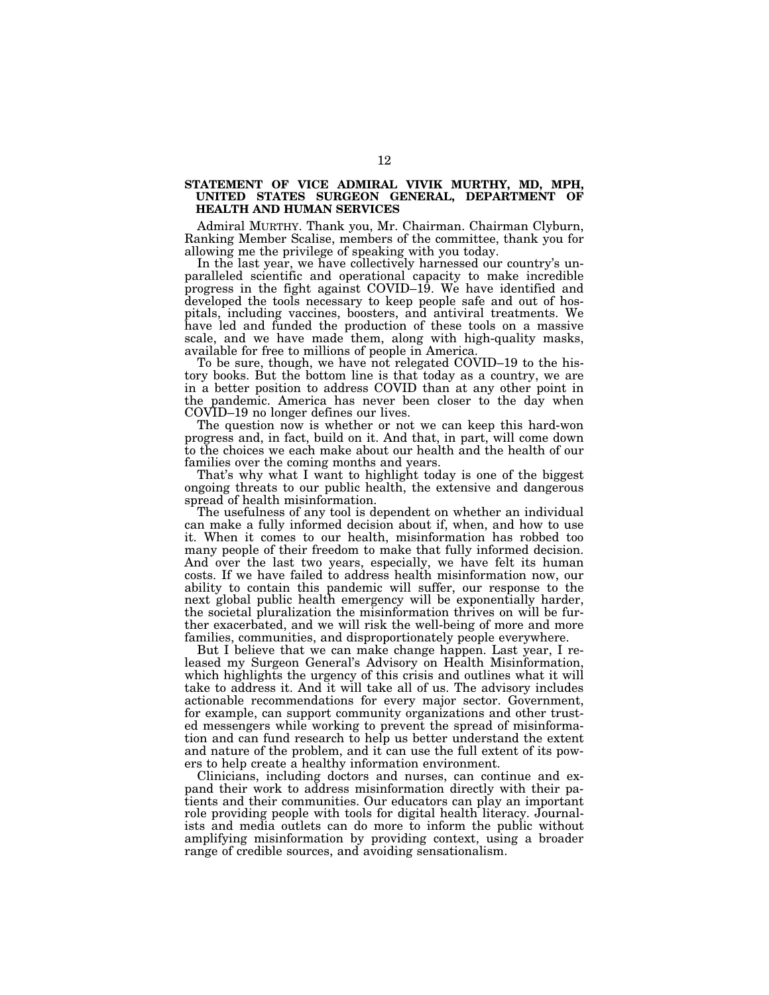#### **STATEMENT OF VICE ADMIRAL VIVIK MURTHY, MD, MPH, UNITED STATES SURGEON GENERAL, DEPARTMENT OF HEALTH AND HUMAN SERVICES**

Admiral MURTHY. Thank you, Mr. Chairman. Chairman Clyburn, Ranking Member Scalise, members of the committee, thank you for allowing me the privilege of speaking with you today.

In the last year, we have collectively harnessed our country's unparalleled scientific and operational capacity to make incredible progress in the fight against COVID–19. We have identified and developed the tools necessary to keep people safe and out of hospitals, including vaccines, boosters, and antiviral treatments. We have led and funded the production of these tools on a massive scale, and we have made them, along with high-quality masks, available for free to millions of people in America.

To be sure, though, we have not relegated COVID–19 to the history books. But the bottom line is that today as a country, we are in a better position to address COVID than at any other point in the pandemic. America has never been closer to the day when COVID–19 no longer defines our lives.

The question now is whether or not we can keep this hard-won progress and, in fact, build on it. And that, in part, will come down to the choices we each make about our health and the health of our families over the coming months and years.

That's why what I want to highlight today is one of the biggest ongoing threats to our public health, the extensive and dangerous spread of health misinformation.

The usefulness of any tool is dependent on whether an individual can make a fully informed decision about if, when, and how to use it. When it comes to our health, misinformation has robbed too many people of their freedom to make that fully informed decision. And over the last two years, especially, we have felt its human costs. If we have failed to address health misinformation now, our ability to contain this pandemic will suffer, our response to the next global public health emergency will be exponentially harder, the societal pluralization the misinformation thrives on will be further exacerbated, and we will risk the well-being of more and more families, communities, and disproportionately people everywhere.

But I believe that we can make change happen. Last year, I released my Surgeon General's Advisory on Health Misinformation, which highlights the urgency of this crisis and outlines what it will take to address it. And it will take all of us. The advisory includes actionable recommendations for every major sector. Government, for example, can support community organizations and other trusted messengers while working to prevent the spread of misinformation and can fund research to help us better understand the extent and nature of the problem, and it can use the full extent of its powers to help create a healthy information environment.

Clinicians, including doctors and nurses, can continue and expand their work to address misinformation directly with their patients and their communities. Our educators can play an important role providing people with tools for digital health literacy. Journalists and media outlets can do more to inform the public without amplifying misinformation by providing context, using a broader range of credible sources, and avoiding sensationalism.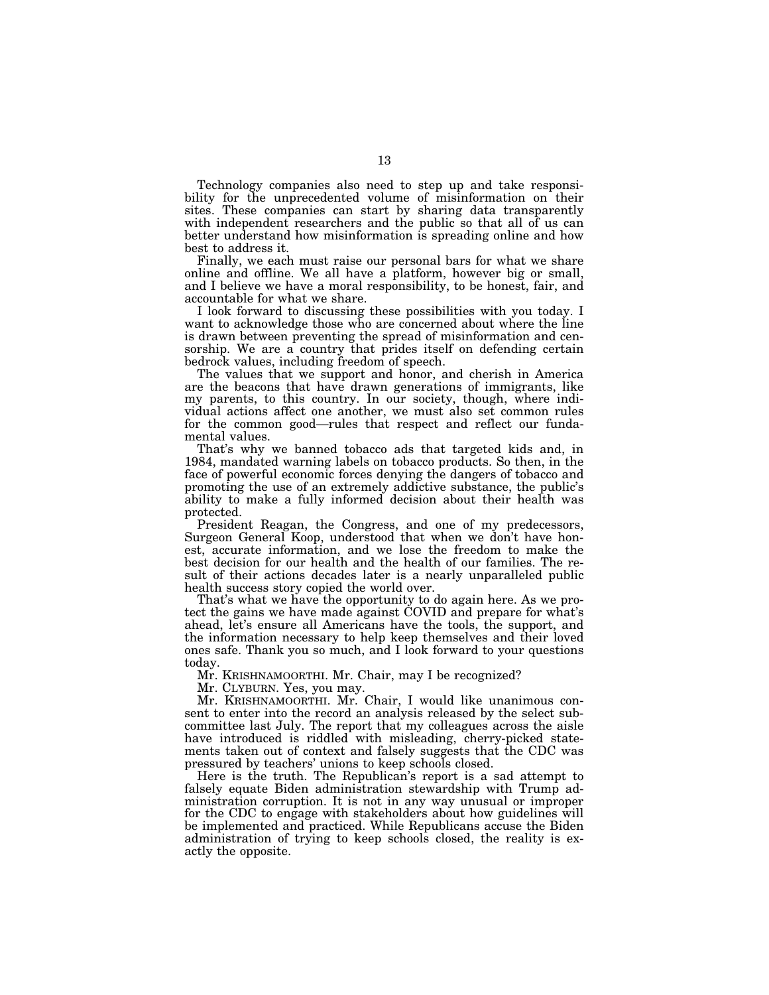Technology companies also need to step up and take responsibility for the unprecedented volume of misinformation on their sites. These companies can start by sharing data transparently with independent researchers and the public so that all of us can better understand how misinformation is spreading online and how best to address it.

Finally, we each must raise our personal bars for what we share online and offline. We all have a platform, however big or small, and I believe we have a moral responsibility, to be honest, fair, and accountable for what we share.

I look forward to discussing these possibilities with you today. I want to acknowledge those who are concerned about where the line is drawn between preventing the spread of misinformation and censorship. We are a country that prides itself on defending certain bedrock values, including freedom of speech.

The values that we support and honor, and cherish in America are the beacons that have drawn generations of immigrants, like my parents, to this country. In our society, though, where individual actions affect one another, we must also set common rules for the common good—rules that respect and reflect our fundamental values.

That's why we banned tobacco ads that targeted kids and, in 1984, mandated warning labels on tobacco products. So then, in the face of powerful economic forces denying the dangers of tobacco and promoting the use of an extremely addictive substance, the public's ability to make a fully informed decision about their health was protected.

President Reagan, the Congress, and one of my predecessors, Surgeon General Koop, understood that when we don't have honest, accurate information, and we lose the freedom to make the best decision for our health and the health of our families. The result of their actions decades later is a nearly unparalleled public health success story copied the world over.

That's what we have the opportunity to do again here. As we protect the gains we have made against COVID and prepare for what's ahead, let's ensure all Americans have the tools, the support, and the information necessary to help keep themselves and their loved ones safe. Thank you so much, and I look forward to your questions today.

Mr. KRISHNAMOORTHI. Mr. Chair, may I be recognized?

Mr. CLYBURN. Yes, you may.

Mr. KRISHNAMOORTHI. Mr. Chair, I would like unanimous consent to enter into the record an analysis released by the select subcommittee last July. The report that my colleagues across the aisle have introduced is riddled with misleading, cherry-picked statements taken out of context and falsely suggests that the CDC was pressured by teachers' unions to keep schools closed.

Here is the truth. The Republican's report is a sad attempt to falsely equate Biden administration stewardship with Trump administration corruption. It is not in any way unusual or improper for the CDC to engage with stakeholders about how guidelines will be implemented and practiced. While Republicans accuse the Biden administration of trying to keep schools closed, the reality is exactly the opposite.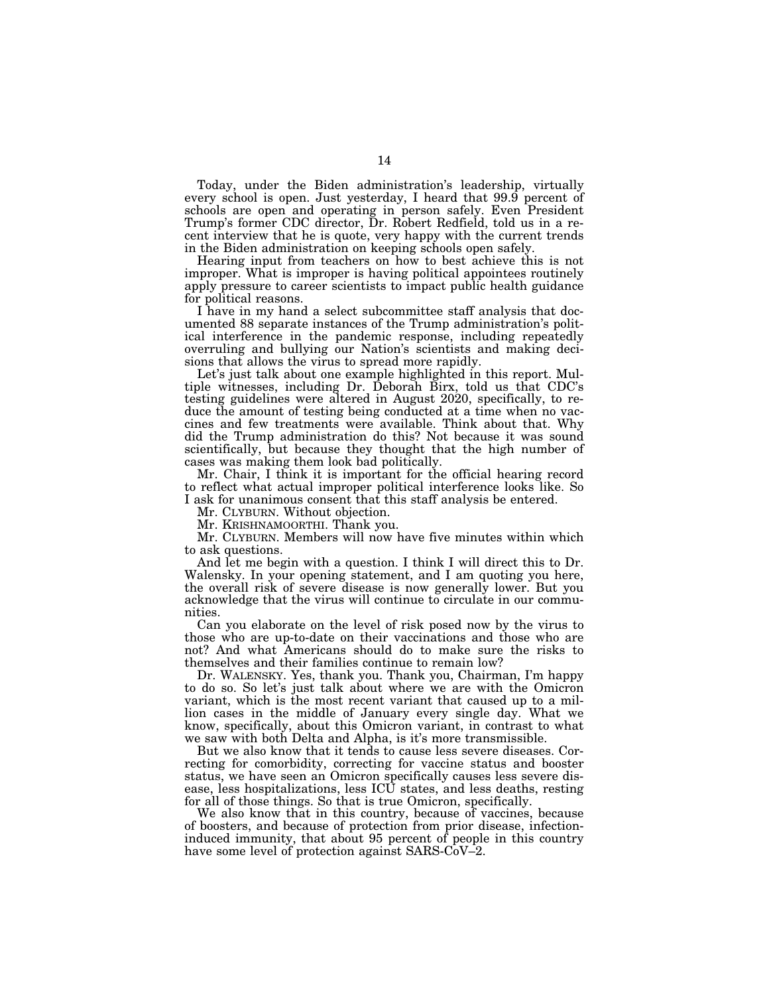Today, under the Biden administration's leadership, virtually every school is open. Just yesterday, I heard that 99.9 percent of schools are open and operating in person safely. Even President Trump's former CDC director, Dr. Robert Redfield, told us in a recent interview that he is quote, very happy with the current trends in the Biden administration on keeping schools open safely.

Hearing input from teachers on how to best achieve this is not improper. What is improper is having political appointees routinely apply pressure to career scientists to impact public health guidance for political reasons.

I have in my hand a select subcommittee staff analysis that documented 88 separate instances of the Trump administration's political interference in the pandemic response, including repeatedly overruling and bullying our Nation's scientists and making decisions that allows the virus to spread more rapidly.

Let's just talk about one example highlighted in this report. Multiple witnesses, including Dr. Deborah Birx, told us that CDC's testing guidelines were altered in August 2020, specifically, to reduce the amount of testing being conducted at a time when no vaccines and few treatments were available. Think about that. Why did the Trump administration do this? Not because it was sound scientifically, but because they thought that the high number of cases was making them look bad politically.

Mr. Chair, I think it is important for the official hearing record to reflect what actual improper political interference looks like. So I ask for unanimous consent that this staff analysis be entered.

Mr. CLYBURN. Without objection.

Mr. KRISHNAMOORTHI. Thank you.

Mr. CLYBURN. Members will now have five minutes within which to ask questions.

And let me begin with a question. I think I will direct this to Dr. Walensky. In your opening statement, and I am quoting you here, the overall risk of severe disease is now generally lower. But you acknowledge that the virus will continue to circulate in our communities.

Can you elaborate on the level of risk posed now by the virus to those who are up-to-date on their vaccinations and those who are not? And what Americans should do to make sure the risks to themselves and their families continue to remain low?

Dr. WALENSKY. Yes, thank you. Thank you, Chairman, I'm happy to do so. So let's just talk about where we are with the Omicron variant, which is the most recent variant that caused up to a million cases in the middle of January every single day. What we know, specifically, about this Omicron variant, in contrast to what we saw with both Delta and Alpha, is it's more transmissible.

But we also know that it tends to cause less severe diseases. Correcting for comorbidity, correcting for vaccine status and booster status, we have seen an Omicron specifically causes less severe disease, less hospitalizations, less ICU states, and less deaths, resting for all of those things. So that is true Omicron, specifically.

We also know that in this country, because of vaccines, because of boosters, and because of protection from prior disease, infectioninduced immunity, that about 95 percent of people in this country have some level of protection against SARS-CoV–2.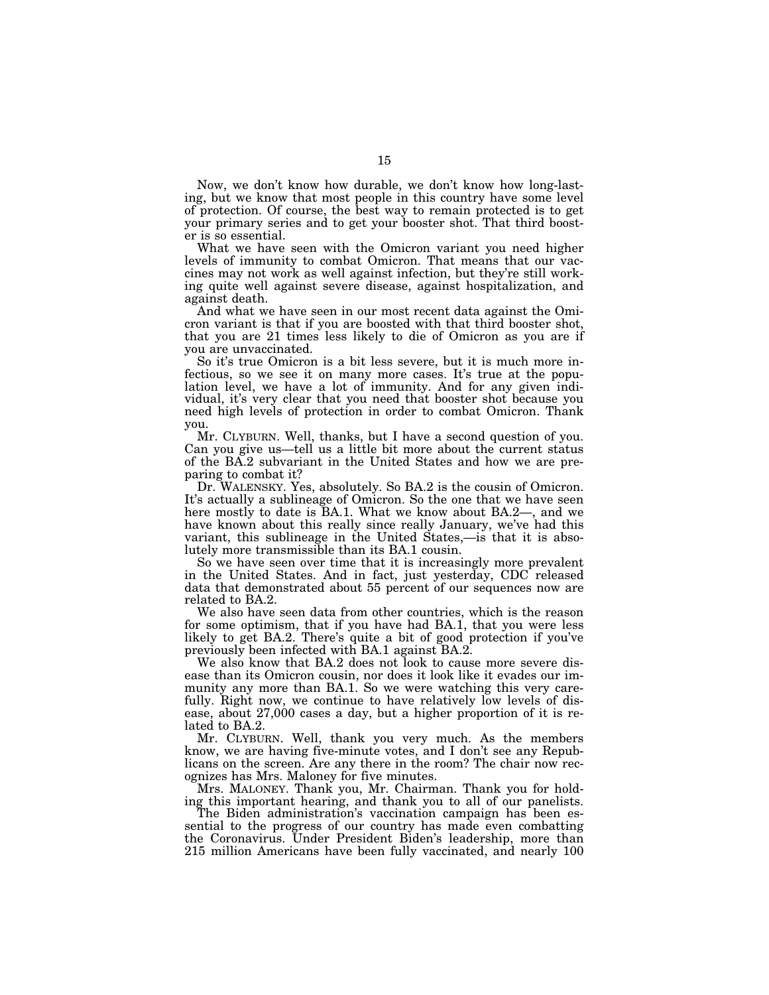Now, we don't know how durable, we don't know how long-lasting, but we know that most people in this country have some level of protection. Of course, the best way to remain protected is to get your primary series and to get your booster shot. That third booster is so essential.

What we have seen with the Omicron variant you need higher levels of immunity to combat Omicron. That means that our vaccines may not work as well against infection, but they're still working quite well against severe disease, against hospitalization, and against death.

And what we have seen in our most recent data against the Omicron variant is that if you are boosted with that third booster shot, that you are 21 times less likely to die of Omicron as you are if you are unvaccinated.

So it's true Omicron is a bit less severe, but it is much more infectious, so we see it on many more cases. It's true at the population level, we have a lot of immunity. And for any given individual, it's very clear that you need that booster shot because you need high levels of protection in order to combat Omicron. Thank you.

Mr. CLYBURN. Well, thanks, but I have a second question of you. Can you give us—tell us a little bit more about the current status of the BA.2 subvariant in the United States and how we are preparing to combat it?

Dr. WALENSKY. Yes, absolutely. So BA.2 is the cousin of Omicron. It's actually a sublineage of Omicron. So the one that we have seen here mostly to date is BA.1. What we know about BA.2—, and we have known about this really since really January, we've had this variant, this sublineage in the United States,—is that it is absolutely more transmissible than its BA.1 cousin.

So we have seen over time that it is increasingly more prevalent in the United States. And in fact, just yesterday, CDC released data that demonstrated about 55 percent of our sequences now are related to BA.2.

We also have seen data from other countries, which is the reason for some optimism, that if you have had BA.1, that you were less likely to get BA.2. There's quite a bit of good protection if you've previously been infected with BA.1 against BA.2.

We also know that BA.2 does not look to cause more severe disease than its Omicron cousin, nor does it look like it evades our immunity any more than BA.1. So we were watching this very carefully. Right now, we continue to have relatively low levels of disease, about 27,000 cases a day, but a higher proportion of it is related to BA.2.

Mr. CLYBURN. Well, thank you very much. As the members know, we are having five-minute votes, and I don't see any Republicans on the screen. Are any there in the room? The chair now recognizes has Mrs. Maloney for five minutes.

Mrs. MALONEY. Thank you, Mr. Chairman. Thank you for holding this important hearing, and thank you to all of our panelists.

The Biden administration's vaccination campaign has been essential to the progress of our country has made even combatting the Coronavirus. Under President Biden's leadership, more than 215 million Americans have been fully vaccinated, and nearly 100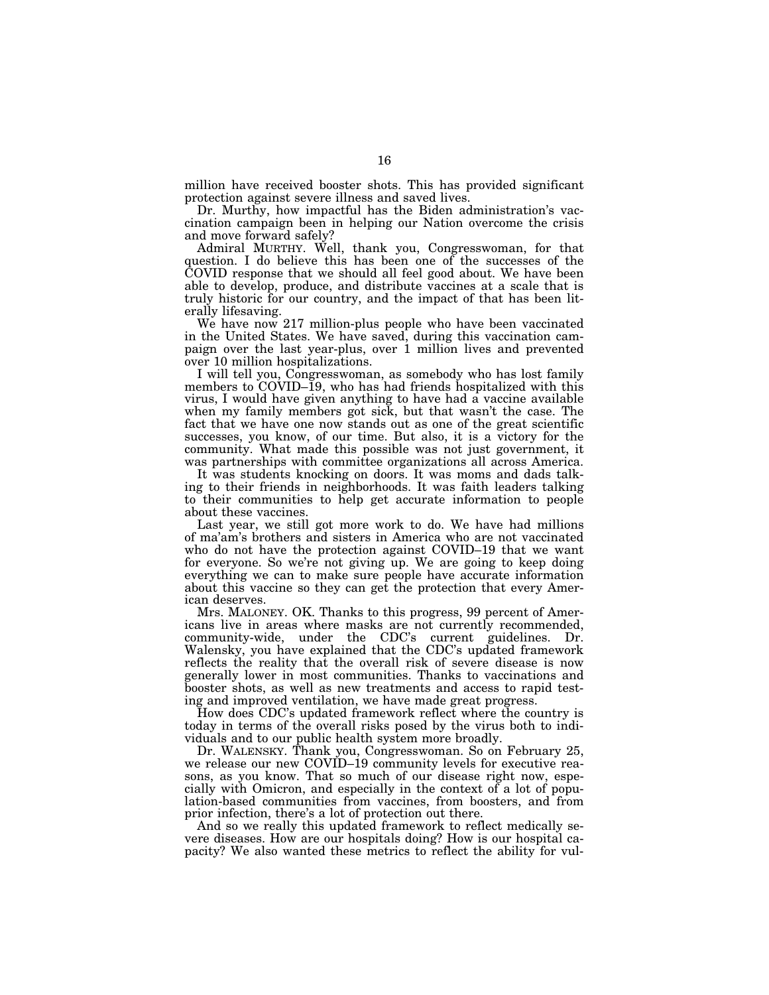million have received booster shots. This has provided significant protection against severe illness and saved lives.

Dr. Murthy, how impactful has the Biden administration's vaccination campaign been in helping our Nation overcome the crisis and move forward safely?

Admiral MURTHY. Well, thank you, Congresswoman, for that question. I do believe this has been one of the successes of the COVID response that we should all feel good about. We have been able to develop, produce, and distribute vaccines at a scale that is truly historic for our country, and the impact of that has been literally lifesaving.

We have now 217 million-plus people who have been vaccinated in the United States. We have saved, during this vaccination campaign over the last year-plus, over 1 million lives and prevented over 10 million hospitalizations.

I will tell you, Congresswoman, as somebody who has lost family members to COVID–19, who has had friends hospitalized with this virus, I would have given anything to have had a vaccine available when my family members got sick, but that wasn't the case. The fact that we have one now stands out as one of the great scientific successes, you know, of our time. But also, it is a victory for the community. What made this possible was not just government, it was partnerships with committee organizations all across America.

It was students knocking on doors. It was moms and dads talking to their friends in neighborhoods. It was faith leaders talking to their communities to help get accurate information to people about these vaccines.

Last year, we still got more work to do. We have had millions of ma'am's brothers and sisters in America who are not vaccinated who do not have the protection against COVID–19 that we want for everyone. So we're not giving up. We are going to keep doing everything we can to make sure people have accurate information about this vaccine so they can get the protection that every American deserves.

Mrs. MALONEY. OK. Thanks to this progress, 99 percent of Americans live in areas where masks are not currently recommended, community-wide, under the CDC's current guidelines. Dr. Walensky, you have explained that the CDC's updated framework reflects the reality that the overall risk of severe disease is now generally lower in most communities. Thanks to vaccinations and booster shots, as well as new treatments and access to rapid testing and improved ventilation, we have made great progress.

How does CDC's updated framework reflect where the country is today in terms of the overall risks posed by the virus both to individuals and to our public health system more broadly.

Dr. WALENSKY. Thank you, Congresswoman. So on February 25, we release our new COVID–19 community levels for executive reasons, as you know. That so much of our disease right now, especially with Omicron, and especially in the context of a lot of population-based communities from vaccines, from boosters, and from prior infection, there's a lot of protection out there.

And so we really this updated framework to reflect medically severe diseases. How are our hospitals doing? How is our hospital capacity? We also wanted these metrics to reflect the ability for vul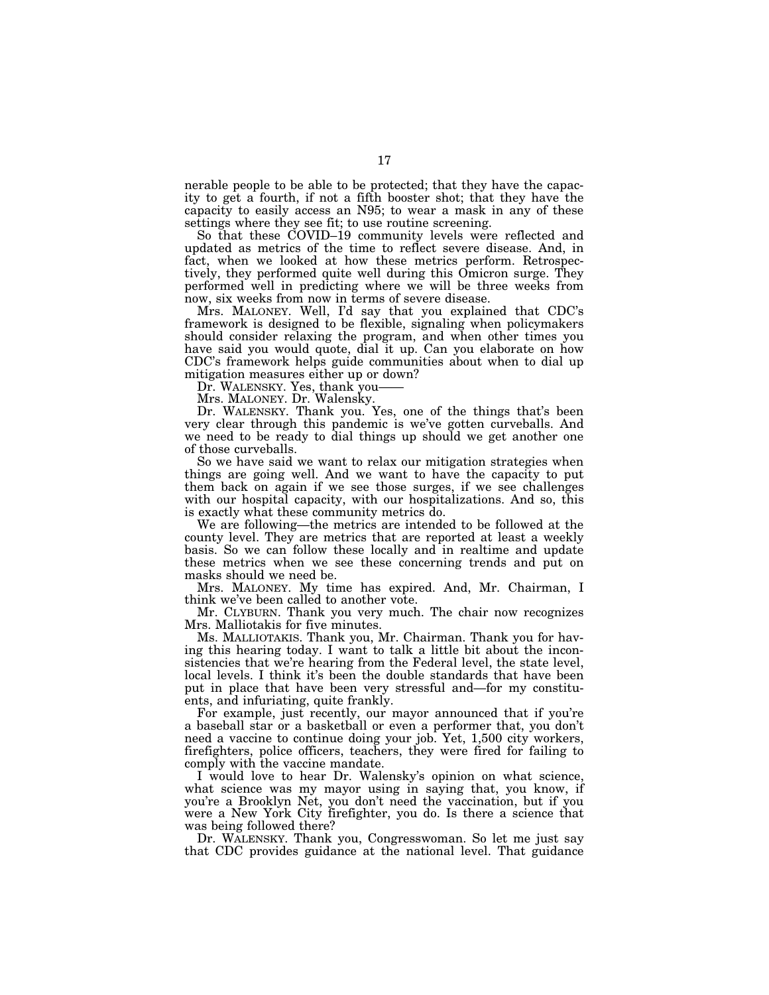nerable people to be able to be protected; that they have the capacity to get a fourth, if not a fifth booster shot; that they have the capacity to easily access an N95; to wear a mask in any of these settings where they see fit; to use routine screening.

So that these COVID–19 community levels were reflected and updated as metrics of the time to reflect severe disease. And, in fact, when we looked at how these metrics perform. Retrospectively, they performed quite well during this Omicron surge. They performed well in predicting where we will be three weeks from now, six weeks from now in terms of severe disease.

Mrs. MALONEY. Well, I'd say that you explained that CDC's framework is designed to be flexible, signaling when policymakers should consider relaxing the program, and when other times you have said you would quote, dial it up. Can you elaborate on how CDC's framework helps guide communities about when to dial up mitigation measures either up or down?

Dr. WALENSKY. Yes, thank you-

Mrs. MALONEY. Dr. Walensky.

Dr. WALENSKY. Thank you. Yes, one of the things that's been very clear through this pandemic is we've gotten curveballs. And we need to be ready to dial things up should we get another one of those curveballs.

So we have said we want to relax our mitigation strategies when things are going well. And we want to have the capacity to put them back on again if we see those surges, if we see challenges with our hospital capacity, with our hospitalizations. And so, this is exactly what these community metrics do.

We are following—the metrics are intended to be followed at the county level. They are metrics that are reported at least a weekly basis. So we can follow these locally and in realtime and update these metrics when we see these concerning trends and put on masks should we need be.

Mrs. MALONEY. My time has expired. And, Mr. Chairman, I think we've been called to another vote.

Mr. CLYBURN. Thank you very much. The chair now recognizes Mrs. Malliotakis for five minutes.

Ms. MALLIOTAKIS. Thank you, Mr. Chairman. Thank you for having this hearing today. I want to talk a little bit about the inconsistencies that we're hearing from the Federal level, the state level, local levels. I think it's been the double standards that have been put in place that have been very stressful and—for my constituents, and infuriating, quite frankly.

For example, just recently, our mayor announced that if you're a baseball star or a basketball or even a performer that, you don't need a vaccine to continue doing your job. Yet, 1,500 city workers, firefighters, police officers, teachers, they were fired for failing to comply with the vaccine mandate.

I would love to hear Dr. Walensky's opinion on what science, what science was my mayor using in saying that, you know, if you're a Brooklyn Net, you don't need the vaccination, but if you were a New York City firefighter, you do. Is there a science that was being followed there?

Dr. WALENSKY. Thank you, Congresswoman. So let me just say that CDC provides guidance at the national level. That guidance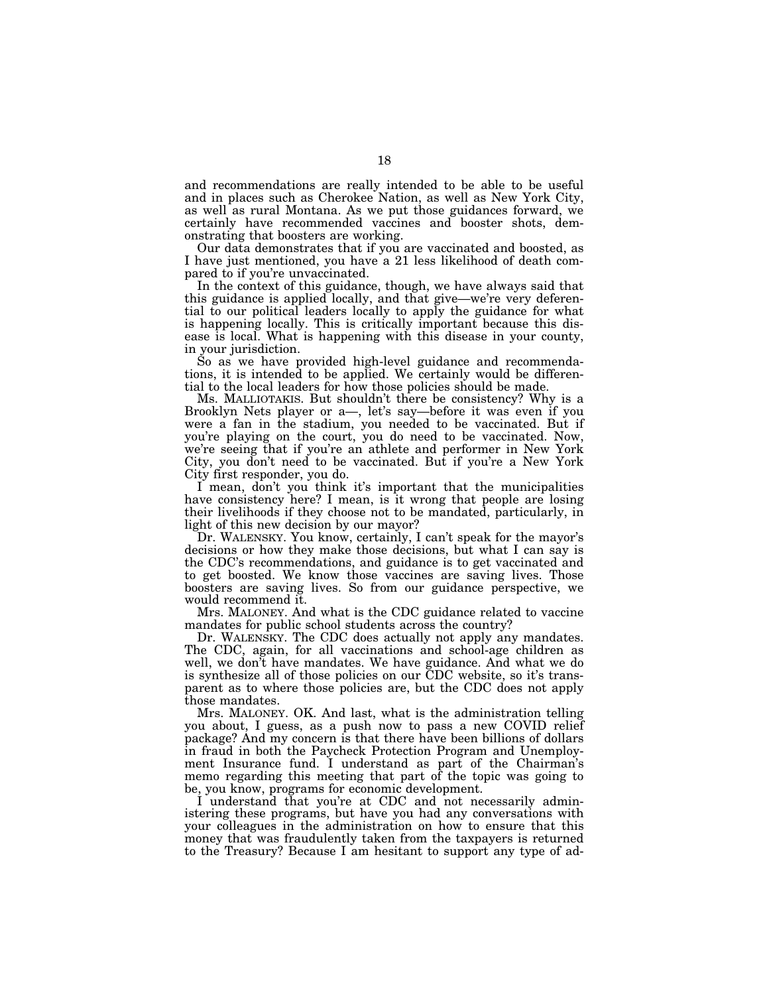and recommendations are really intended to be able to be useful and in places such as Cherokee Nation, as well as New York City, as well as rural Montana. As we put those guidances forward, we certainly have recommended vaccines and booster shots, demonstrating that boosters are working.

Our data demonstrates that if you are vaccinated and boosted, as I have just mentioned, you have a 21 less likelihood of death compared to if you're unvaccinated.

In the context of this guidance, though, we have always said that this guidance is applied locally, and that give—we're very deferential to our political leaders locally to apply the guidance for what is happening locally. This is critically important because this disease is local. What is happening with this disease in your county, in your jurisdiction.

So as we have provided high-level guidance and recommendations, it is intended to be applied. We certainly would be differential to the local leaders for how those policies should be made.

Ms. MALLIOTAKIS. But shouldn't there be consistency? Why is a Brooklyn Nets player or a—, let's say—before it was even if you were a fan in the stadium, you needed to be vaccinated. But if you're playing on the court, you do need to be vaccinated. Now, we're seeing that if you're an athlete and performer in New York City, you don't need to be vaccinated. But if you're a New York City first responder, you do.

I mean, don't you think it's important that the municipalities have consistency here? I mean, is it wrong that people are losing their livelihoods if they choose not to be mandated, particularly, in light of this new decision by our mayor?

Dr. WALENSKY. You know, certainly, I can't speak for the mayor's decisions or how they make those decisions, but what I can say is the CDC's recommendations, and guidance is to get vaccinated and to get boosted. We know those vaccines are saving lives. Those boosters are saving lives. So from our guidance perspective, we would recommend it.

Mrs. MALONEY. And what is the CDC guidance related to vaccine mandates for public school students across the country?

Dr. WALENSKY. The CDC does actually not apply any mandates. The CDC, again, for all vaccinations and school-age children as well, we don't have mandates. We have guidance. And what we do is synthesize all of those policies on our CDC website, so it's transparent as to where those policies are, but the CDC does not apply those mandates.

Mrs. MALONEY. OK. And last, what is the administration telling you about, I guess, as a push now to pass a new COVID relief package? And my concern is that there have been billions of dollars in fraud in both the Paycheck Protection Program and Unemployment Insurance fund. I understand as part of the Chairman's memo regarding this meeting that part of the topic was going to be, you know, programs for economic development.

I understand that you're at CDC and not necessarily administering these programs, but have you had any conversations with your colleagues in the administration on how to ensure that this money that was fraudulently taken from the taxpayers is returned to the Treasury? Because I am hesitant to support any type of ad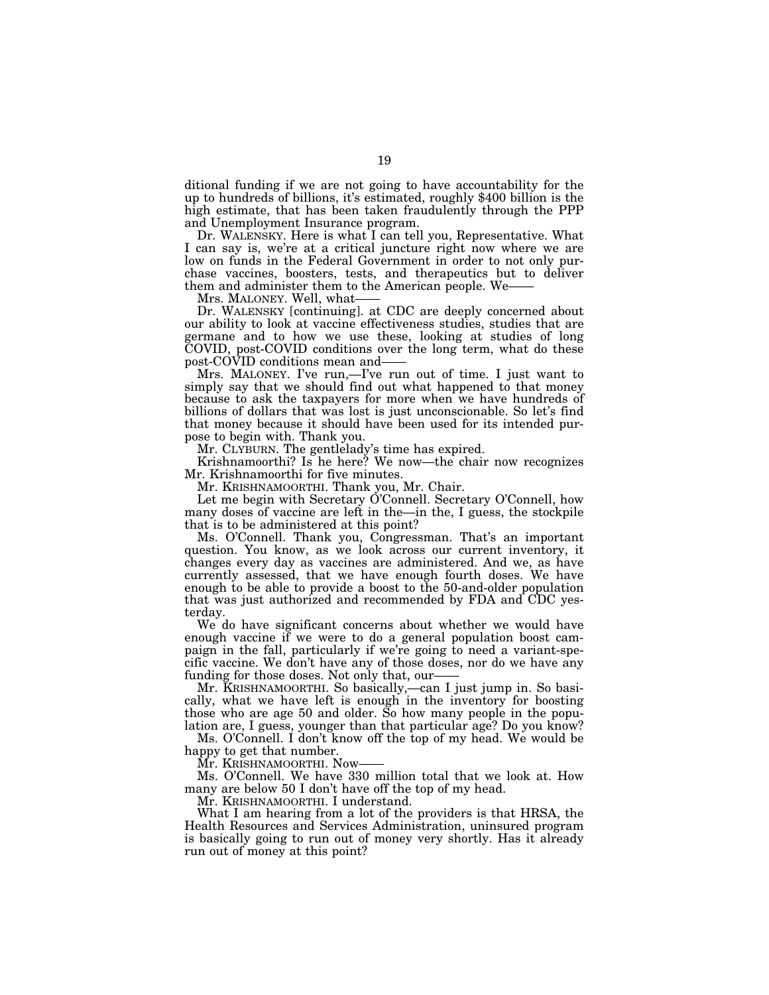ditional funding if we are not going to have accountability for the up to hundreds of billions, it's estimated, roughly \$400 billion is the high estimate, that has been taken fraudulently through the PPP and Unemployment Insurance program.

Dr. WALENSKY. Here is what I can tell you, Representative. What I can say is, we're at a critical juncture right now where we are low on funds in the Federal Government in order to not only purchase vaccines, boosters, tests, and therapeutics but to deliver them and administer them to the American people. We-

Mrs. MALONEY. Well, what-

Dr. WALENSKY [continuing]. at CDC are deeply concerned about our ability to look at vaccine effectiveness studies, studies that are germane and to how we use these, looking at studies of long COVID, post-COVID conditions over the long term, what do these post-COVID conditions mean and——

Mrs. MALONEY. I've run,—I've run out of time. I just want to simply say that we should find out what happened to that money because to ask the taxpayers for more when we have hundreds of billions of dollars that was lost is just unconscionable. So let's find that money because it should have been used for its intended purpose to begin with. Thank you.

Mr. CLYBURN. The gentlelady's time has expired.

Krishnamoorthi? Is he here? We now—the chair now recognizes Mr. Krishnamoorthi for five minutes.

Mr. KRISHNAMOORTHI. Thank you, Mr. Chair.

Let me begin with Secretary O'Connell. Secretary O'Connell, how many doses of vaccine are left in the—in the, I guess, the stockpile that is to be administered at this point?

Ms. O'Connell. Thank you, Congressman. That's an important question. You know, as we look across our current inventory, it changes every day as vaccines are administered. And we, as have currently assessed, that we have enough fourth doses. We have enough to be able to provide a boost to the 50-and-older population that was just authorized and recommended by FDA and CDC yesterday.

We do have significant concerns about whether we would have enough vaccine if we were to do a general population boost campaign in the fall, particularly if we're going to need a variant-specific vaccine. We don't have any of those doses, nor do we have any funding for those doses. Not only that, our-

Mr. KRISHNAMOORTHI. So basically,—can I just jump in. So basically, what we have left is enough in the inventory for boosting those who are age 50 and older. So how many people in the population are, I guess, younger than that particular age? Do you know?

Ms. O'Connell. I don't know off the top of my head. We would be happy to get that number.

Mr. KRISHNAMOORTHI. Now-

Ms. O'Connell. We have 330 million total that we look at. How many are below 50 I don't have off the top of my head.

Mr. KRISHNAMOORTHI. I understand.

What I am hearing from a lot of the providers is that HRSA, the Health Resources and Services Administration, uninsured program is basically going to run out of money very shortly. Has it already run out of money at this point?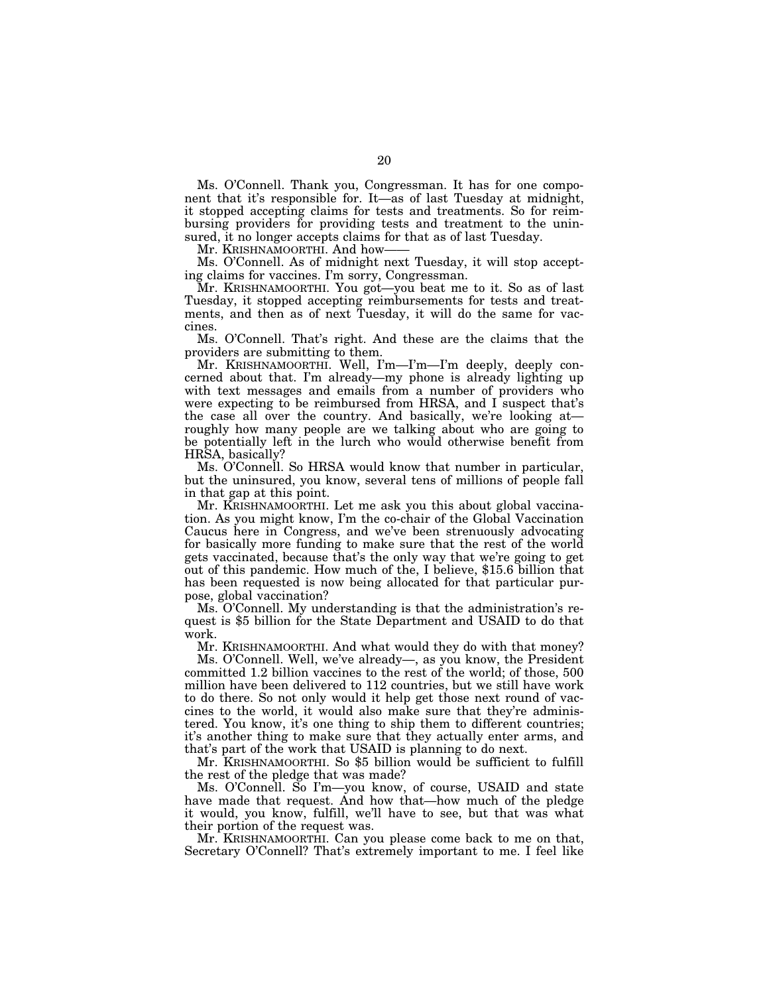Ms. O'Connell. Thank you, Congressman. It has for one component that it's responsible for. It—as of last Tuesday at midnight, it stopped accepting claims for tests and treatments. So for reimbursing providers for providing tests and treatment to the uninsured, it no longer accepts claims for that as of last Tuesday.

Mr. KRISHNAMOORTHI. And how-

Ms. O'Connell. As of midnight next Tuesday, it will stop accepting claims for vaccines. I'm sorry, Congressman.

Mr. KRISHNAMOORTHI. You got—you beat me to it. So as of last Tuesday, it stopped accepting reimbursements for tests and treatments, and then as of next Tuesday, it will do the same for vaccines.

Ms. O'Connell. That's right. And these are the claims that the providers are submitting to them.

Mr. KRISHNAMOORTHI. Well, I'm—I'm—I'm deeply, deeply concerned about that. I'm already—my phone is already lighting up with text messages and emails from a number of providers who were expecting to be reimbursed from HRSA, and I suspect that's the case all over the country. And basically, we're looking at roughly how many people are we talking about who are going to be potentially left in the lurch who would otherwise benefit from HRSA, basically?

Ms. O'Connell. So HRSA would know that number in particular, but the uninsured, you know, several tens of millions of people fall in that gap at this point.

Mr. KRISHNAMOORTHI. Let me ask you this about global vaccination. As you might know, I'm the co-chair of the Global Vaccination Caucus here in Congress, and we've been strenuously advocating for basically more funding to make sure that the rest of the world gets vaccinated, because that's the only way that we're going to get out of this pandemic. How much of the, I believe, \$15.6 billion that has been requested is now being allocated for that particular purpose, global vaccination?

Ms. O'Connell. My understanding is that the administration's request is \$5 billion for the State Department and USAID to do that work.

Mr. KRISHNAMOORTHI. And what would they do with that money?

Ms. O'Connell. Well, we've already—, as you know, the President committed 1.2 billion vaccines to the rest of the world; of those, 500 million have been delivered to 112 countries, but we still have work to do there. So not only would it help get those next round of vaccines to the world, it would also make sure that they're administered. You know, it's one thing to ship them to different countries; it's another thing to make sure that they actually enter arms, and that's part of the work that USAID is planning to do next.

Mr. KRISHNAMOORTHI. So \$5 billion would be sufficient to fulfill the rest of the pledge that was made?

Ms. O'Connell. So I'm—you know, of course, USAID and state have made that request. And how that—how much of the pledge it would, you know, fulfill, we'll have to see, but that was what their portion of the request was.

Mr. KRISHNAMOORTHI. Can you please come back to me on that, Secretary O'Connell? That's extremely important to me. I feel like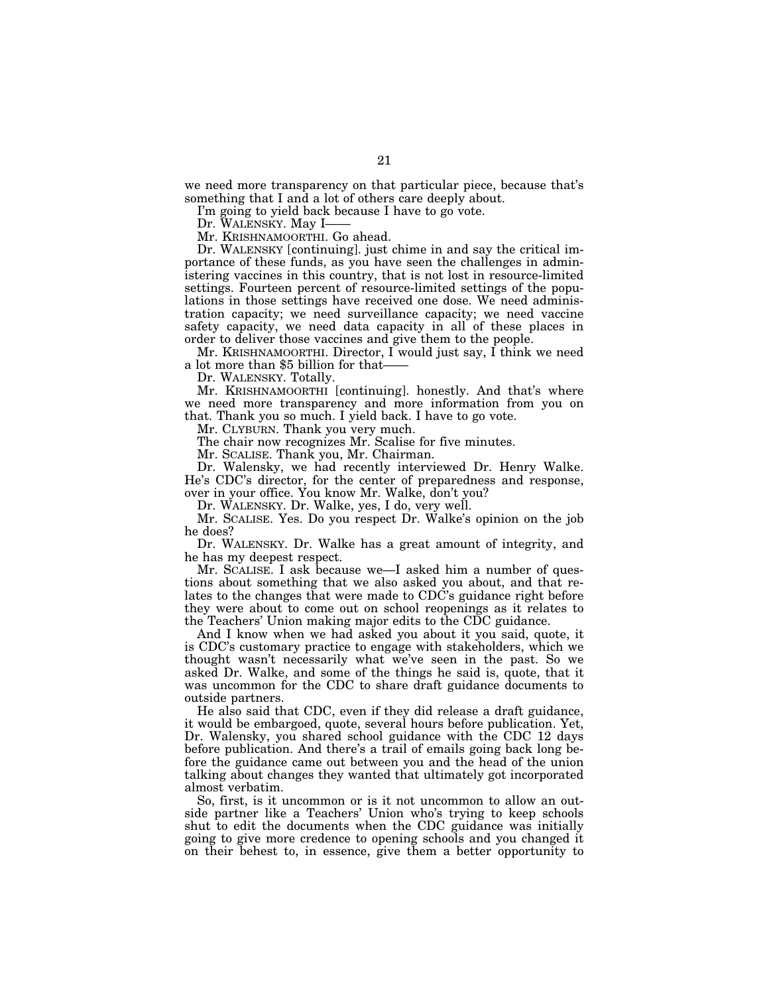we need more transparency on that particular piece, because that's something that I and a lot of others care deeply about.

I'm going to yield back because I have to go vote.

Dr. WALENSKY. May I-

Mr. KRISHNAMOORTHI. Go ahead.

Dr. WALENSKY [continuing]. just chime in and say the critical importance of these funds, as you have seen the challenges in administering vaccines in this country, that is not lost in resource-limited settings. Fourteen percent of resource-limited settings of the populations in those settings have received one dose. We need administration capacity; we need surveillance capacity; we need vaccine safety capacity, we need data capacity in all of these places in order to deliver those vaccines and give them to the people.

Mr. KRISHNAMOORTHI. Director, I would just say, I think we need a lot more than \$5 billion for that——

Dr. WALENSKY. Totally.

Mr. KRISHNAMOORTHI [continuing]. honestly. And that's where we need more transparency and more information from you on that. Thank you so much. I yield back. I have to go vote.

Mr. CLYBURN. Thank you very much.

The chair now recognizes Mr. Scalise for five minutes.

Mr. SCALISE. Thank you, Mr. Chairman.

Dr. Walensky, we had recently interviewed Dr. Henry Walke. He's CDC's director, for the center of preparedness and response, over in your office. You know Mr. Walke, don't you?

Dr. WALENSKY. Dr. Walke, yes, I do, very well.

Mr. SCALISE. Yes. Do you respect Dr. Walke's opinion on the job he does?

Dr. WALENSKY. Dr. Walke has a great amount of integrity, and he has my deepest respect.

Mr. SCALISE. I ask because we—I asked him a number of questions about something that we also asked you about, and that relates to the changes that were made to CDC's guidance right before they were about to come out on school reopenings as it relates to the Teachers' Union making major edits to the CDC guidance.

And I know when we had asked you about it you said, quote, it is CDC's customary practice to engage with stakeholders, which we thought wasn't necessarily what we've seen in the past. So we asked Dr. Walke, and some of the things he said is, quote, that it was uncommon for the CDC to share draft guidance documents to outside partners.

He also said that CDC, even if they did release a draft guidance, it would be embargoed, quote, several hours before publication. Yet, Dr. Walensky, you shared school guidance with the CDC 12 days before publication. And there's a trail of emails going back long before the guidance came out between you and the head of the union talking about changes they wanted that ultimately got incorporated almost verbatim.

So, first, is it uncommon or is it not uncommon to allow an outside partner like a Teachers' Union who's trying to keep schools shut to edit the documents when the CDC guidance was initially going to give more credence to opening schools and you changed it on their behest to, in essence, give them a better opportunity to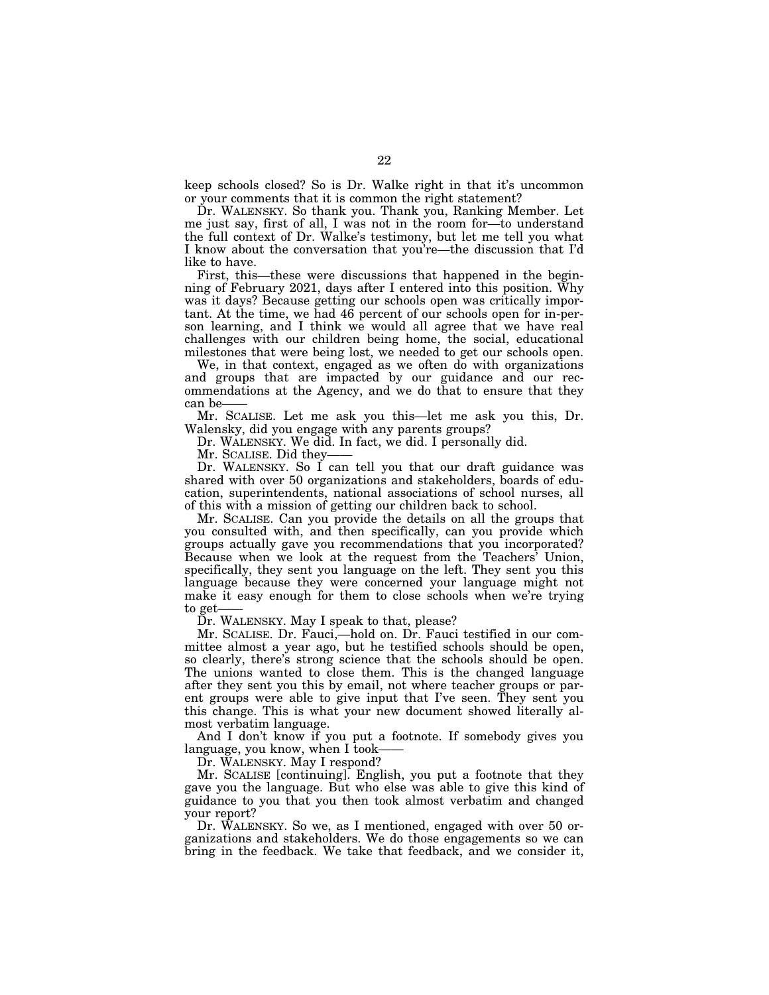keep schools closed? So is Dr. Walke right in that it's uncommon or your comments that it is common the right statement?

Dr. WALENSKY. So thank you. Thank you, Ranking Member. Let me just say, first of all, I was not in the room for—to understand the full context of Dr. Walke's testimony, but let me tell you what I know about the conversation that you're—the discussion that I'd like to have.

First, this—these were discussions that happened in the beginning of February 2021, days after I entered into this position. Why was it days? Because getting our schools open was critically important. At the time, we had 46 percent of our schools open for in-person learning, and I think we would all agree that we have real challenges with our children being home, the social, educational milestones that were being lost, we needed to get our schools open.

We, in that context, engaged as we often do with organizations and groups that are impacted by our guidance and our recommendations at the Agency, and we do that to ensure that they can be–

Mr. SCALISE. Let me ask you this—let me ask you this, Dr. Walensky, did you engage with any parents groups?

Dr. WALENSKY. We did. In fact, we did. I personally did.

Mr. SCALISE. Did they-

Dr. WALENSKY. So I can tell you that our draft guidance was shared with over 50 organizations and stakeholders, boards of education, superintendents, national associations of school nurses, all of this with a mission of getting our children back to school.

Mr. SCALISE. Can you provide the details on all the groups that you consulted with, and then specifically, can you provide which groups actually gave you recommendations that you incorporated? Because when we look at the request from the Teachers' Union, specifically, they sent you language on the left. They sent you this language because they were concerned your language might not make it easy enough for them to close schools when we're trying to get-

Dr. WALENSKY. May I speak to that, please?

Mr. SCALISE. Dr. Fauci,—hold on. Dr. Fauci testified in our committee almost a year ago, but he testified schools should be open, so clearly, there's strong science that the schools should be open. The unions wanted to close them. This is the changed language after they sent you this by email, not where teacher groups or parent groups were able to give input that I've seen. They sent you this change. This is what your new document showed literally almost verbatim language.

And I don't know if you put a footnote. If somebody gives you language, you know, when I took-

Dr. WALENSKY. May I respond?

Mr. SCALISE [continuing]. English, you put a footnote that they gave you the language. But who else was able to give this kind of guidance to you that you then took almost verbatim and changed your report?

Dr. WALENSKY. So we, as I mentioned, engaged with over 50 organizations and stakeholders. We do those engagements so we can bring in the feedback. We take that feedback, and we consider it,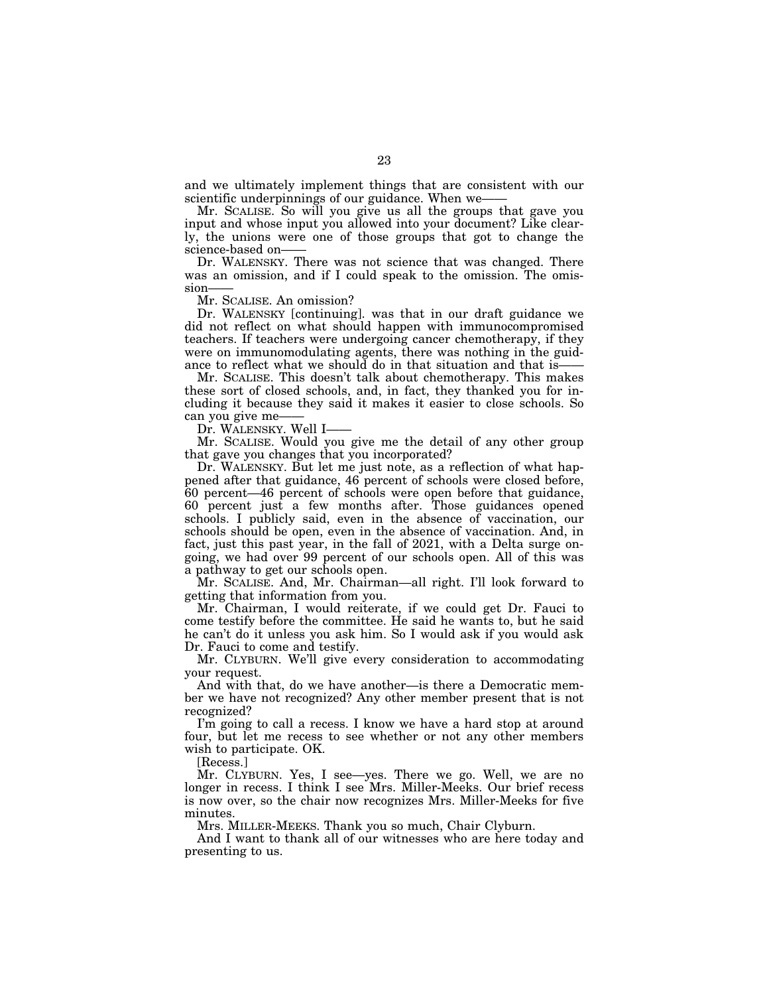and we ultimately implement things that are consistent with our scientific underpinnings of our guidance. When we-

Mr. SCALISE. So will you give us all the groups that gave you input and whose input you allowed into your document? Like clearly, the unions were one of those groups that got to change the science-based on-

Dr. WALENSKY. There was not science that was changed. There was an omission, and if I could speak to the omission. The omission-

Mr. SCALISE. An omission?

Dr. WALENSKY [continuing]. was that in our draft guidance we did not reflect on what should happen with immunocompromised teachers. If teachers were undergoing cancer chemotherapy, if they were on immunomodulating agents, there was nothing in the guidance to reflect what we should do in that situation and that is——

Mr. SCALISE. This doesn't talk about chemotherapy. This makes these sort of closed schools, and, in fact, they thanked you for including it because they said it makes it easier to close schools. So can you give me-

Dr. WALENSKY. Well I-

Mr. SCALISE. Would you give me the detail of any other group that gave you changes that you incorporated?

Dr. WALENSKY. But let me just note, as a reflection of what happened after that guidance, 46 percent of schools were closed before, 60 percent—46 percent of schools were open before that guidance, 60 percent just a few months after. Those guidances opened schools. I publicly said, even in the absence of vaccination, our schools should be open, even in the absence of vaccination. And, in fact, just this past year, in the fall of 2021, with a Delta surge ongoing, we had over 99 percent of our schools open. All of this was a pathway to get our schools open.

Mr. SCALISE. And, Mr. Chairman—all right. I'll look forward to getting that information from you.

Mr. Chairman, I would reiterate, if we could get Dr. Fauci to come testify before the committee. He said he wants to, but he said he can't do it unless you ask him. So I would ask if you would ask Dr. Fauci to come and testify.

Mr. CLYBURN. We'll give every consideration to accommodating your request.

And with that, do we have another—is there a Democratic member we have not recognized? Any other member present that is not recognized?

I'm going to call a recess. I know we have a hard stop at around four, but let me recess to see whether or not any other members wish to participate. OK.

[Recess.]

Mr. CLYBURN. Yes, I see—yes. There we go. Well, we are no longer in recess. I think I see Mrs. Miller-Meeks. Our brief recess is now over, so the chair now recognizes Mrs. Miller-Meeks for five minutes.

Mrs. MILLER-MEEKS. Thank you so much, Chair Clyburn.

And I want to thank all of our witnesses who are here today and presenting to us.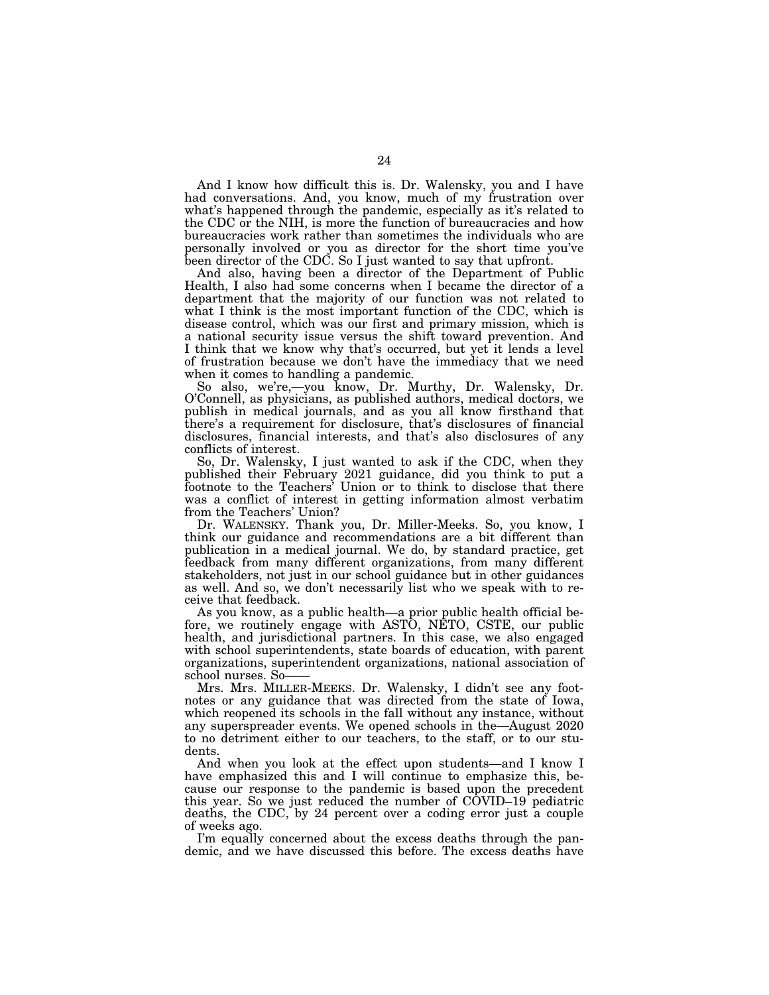And I know how difficult this is. Dr. Walensky, you and I have had conversations. And, you know, much of my frustration over what's happened through the pandemic, especially as it's related to the CDC or the NIH, is more the function of bureaucracies and how bureaucracies work rather than sometimes the individuals who are personally involved or you as director for the short time you've been director of the CDC. So I just wanted to say that upfront.

And also, having been a director of the Department of Public Health, I also had some concerns when I became the director of a department that the majority of our function was not related to what I think is the most important function of the CDC, which is disease control, which was our first and primary mission, which is a national security issue versus the shift toward prevention. And I think that we know why that's occurred, but yet it lends a level of frustration because we don't have the immediacy that we need when it comes to handling a pandemic.

So also, we're,—you know, Dr. Murthy, Dr. Walensky, Dr. O'Connell, as physicians, as published authors, medical doctors, we publish in medical journals, and as you all know firsthand that there's a requirement for disclosure, that's disclosures of financial disclosures, financial interests, and that's also disclosures of any conflicts of interest.

So, Dr. Walensky, I just wanted to ask if the CDC, when they published their February 2021 guidance, did you think to put a footnote to the Teachers' Union or to think to disclose that there was a conflict of interest in getting information almost verbatim from the Teachers' Union?

Dr. WALENSKY. Thank you, Dr. Miller-Meeks. So, you know, I think our guidance and recommendations are a bit different than publication in a medical journal. We do, by standard practice, get feedback from many different organizations, from many different stakeholders, not just in our school guidance but in other guidances as well. And so, we don't necessarily list who we speak with to receive that feedback.

As you know, as a public health—a prior public health official before, we routinely engage with ASTO, NETO, CSTE, our public health, and jurisdictional partners. In this case, we also engaged with school superintendents, state boards of education, with parent organizations, superintendent organizations, national association of school nurses. So-

Mrs. Mrs. MILLER-MEEKS. Dr. Walensky, I didn't see any footnotes or any guidance that was directed from the state of Iowa, which reopened its schools in the fall without any instance, without any superspreader events. We opened schools in the—August 2020 to no detriment either to our teachers, to the staff, or to our students.

And when you look at the effect upon students—and I know I have emphasized this and I will continue to emphasize this, because our response to the pandemic is based upon the precedent this year. So we just reduced the number of COVID–19 pediatric deaths, the CDC, by 24 percent over a coding error just a couple of weeks ago.

I'm equally concerned about the excess deaths through the pandemic, and we have discussed this before. The excess deaths have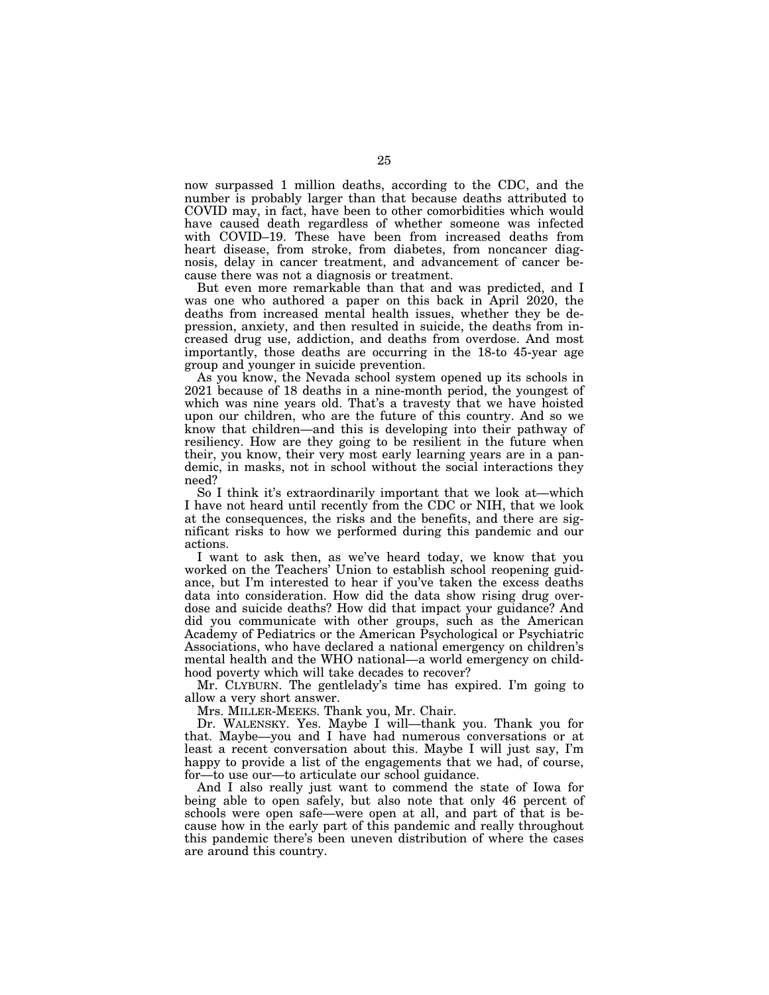now surpassed 1 million deaths, according to the CDC, and the number is probably larger than that because deaths attributed to COVID may, in fact, have been to other comorbidities which would have caused death regardless of whether someone was infected with COVID–19. These have been from increased deaths from heart disease, from stroke, from diabetes, from noncancer diagnosis, delay in cancer treatment, and advancement of cancer because there was not a diagnosis or treatment.

But even more remarkable than that and was predicted, and I was one who authored a paper on this back in April 2020, the deaths from increased mental health issues, whether they be depression, anxiety, and then resulted in suicide, the deaths from increased drug use, addiction, and deaths from overdose. And most importantly, those deaths are occurring in the 18-to 45-year age group and younger in suicide prevention.

As you know, the Nevada school system opened up its schools in 2021 because of 18 deaths in a nine-month period, the youngest of which was nine years old. That's a travesty that we have hoisted upon our children, who are the future of this country. And so we know that children—and this is developing into their pathway of resiliency. How are they going to be resilient in the future when their, you know, their very most early learning years are in a pandemic, in masks, not in school without the social interactions they need?

So I think it's extraordinarily important that we look at—which I have not heard until recently from the CDC or NIH, that we look at the consequences, the risks and the benefits, and there are significant risks to how we performed during this pandemic and our actions.

I want to ask then, as we've heard today, we know that you worked on the Teachers' Union to establish school reopening guidance, but I'm interested to hear if you've taken the excess deaths data into consideration. How did the data show rising drug overdose and suicide deaths? How did that impact your guidance? And did you communicate with other groups, such as the American Academy of Pediatrics or the American Psychological or Psychiatric Associations, who have declared a national emergency on children's mental health and the WHO national—a world emergency on childhood poverty which will take decades to recover?

Mr. CLYBURN. The gentlelady's time has expired. I'm going to allow a very short answer.

Mrs. MILLER-MEEKS. Thank you, Mr. Chair.

Dr. WALENSKY. Yes. Maybe I will—thank you. Thank you for that. Maybe—you and I have had numerous conversations or at least a recent conversation about this. Maybe I will just say, I'm happy to provide a list of the engagements that we had, of course, for—to use our—to articulate our school guidance.

And I also really just want to commend the state of Iowa for being able to open safely, but also note that only 46 percent of schools were open safe—were open at all, and part of that is because how in the early part of this pandemic and really throughout this pandemic there's been uneven distribution of where the cases are around this country.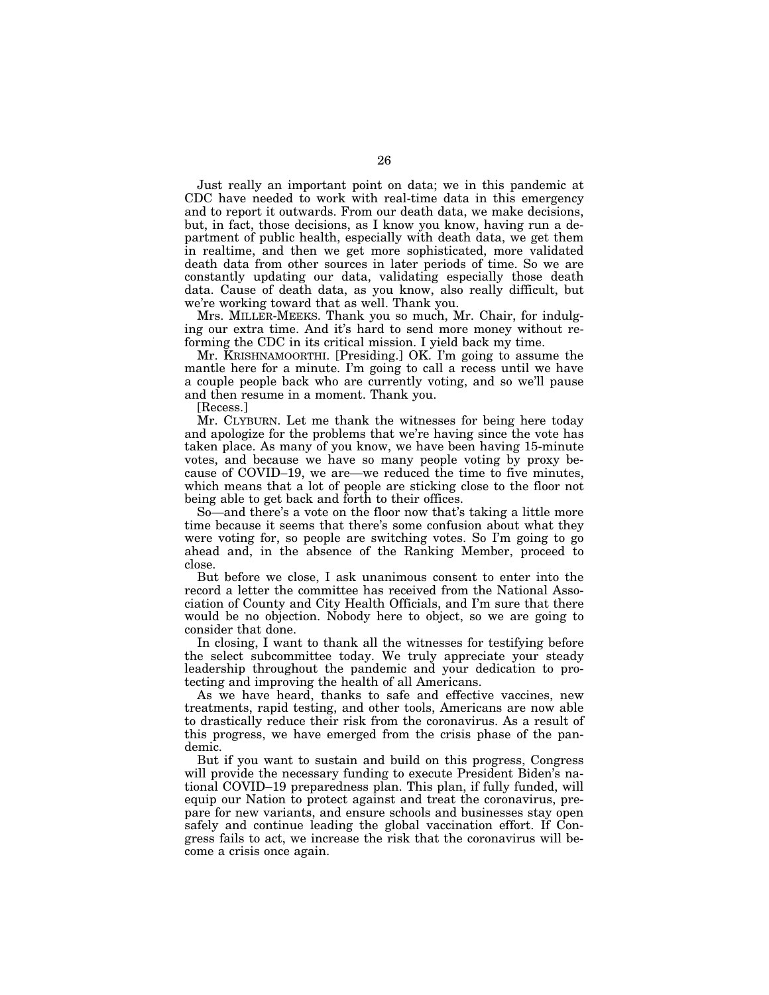Just really an important point on data; we in this pandemic at CDC have needed to work with real-time data in this emergency and to report it outwards. From our death data, we make decisions, but, in fact, those decisions, as I know you know, having run a department of public health, especially with death data, we get them in realtime, and then we get more sophisticated, more validated death data from other sources in later periods of time. So we are constantly updating our data, validating especially those death data. Cause of death data, as you know, also really difficult, but we're working toward that as well. Thank you.

Mrs. MILLER-MEEKS. Thank you so much, Mr. Chair, for indulging our extra time. And it's hard to send more money without reforming the CDC in its critical mission. I yield back my time.

Mr. KRISHNAMOORTHI. [Presiding.] OK. I'm going to assume the mantle here for a minute. I'm going to call a recess until we have a couple people back who are currently voting, and so we'll pause and then resume in a moment. Thank you.

[Recess.]

Mr. CLYBURN. Let me thank the witnesses for being here today and apologize for the problems that we're having since the vote has taken place. As many of you know, we have been having 15-minute votes, and because we have so many people voting by proxy because of COVID–19, we are—we reduced the time to five minutes, which means that a lot of people are sticking close to the floor not being able to get back and forth to their offices.

So—and there's a vote on the floor now that's taking a little more time because it seems that there's some confusion about what they were voting for, so people are switching votes. So I'm going to go ahead and, in the absence of the Ranking Member, proceed to close.

But before we close, I ask unanimous consent to enter into the record a letter the committee has received from the National Association of County and City Health Officials, and I'm sure that there would be no objection. Nobody here to object, so we are going to consider that done.

In closing, I want to thank all the witnesses for testifying before the select subcommittee today. We truly appreciate your steady leadership throughout the pandemic and your dedication to protecting and improving the health of all Americans.

As we have heard, thanks to safe and effective vaccines, new treatments, rapid testing, and other tools, Americans are now able to drastically reduce their risk from the coronavirus. As a result of this progress, we have emerged from the crisis phase of the pandemic.

But if you want to sustain and build on this progress, Congress will provide the necessary funding to execute President Biden's national COVID–19 preparedness plan. This plan, if fully funded, will equip our Nation to protect against and treat the coronavirus, prepare for new variants, and ensure schools and businesses stay open safely and continue leading the global vaccination effort. If Congress fails to act, we increase the risk that the coronavirus will become a crisis once again.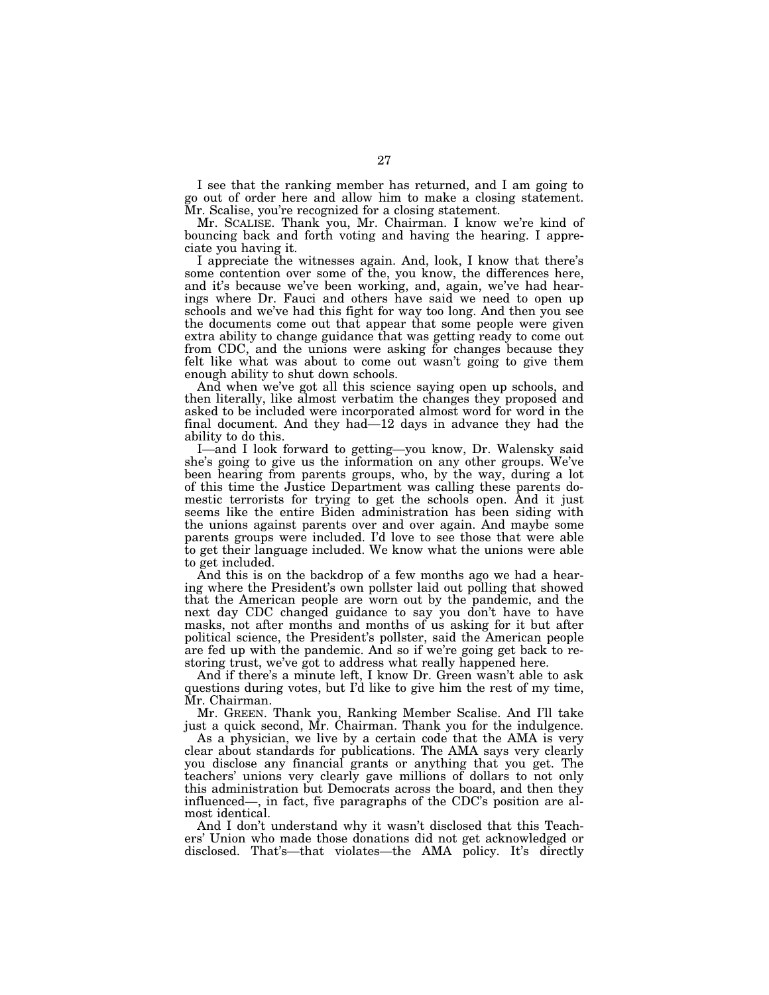I see that the ranking member has returned, and I am going to go out of order here and allow him to make a closing statement. Mr. Scalise, you're recognized for a closing statement.

Mr. SCALISE. Thank you, Mr. Chairman. I know we're kind of bouncing back and forth voting and having the hearing. I appreciate you having it.

I appreciate the witnesses again. And, look, I know that there's some contention over some of the, you know, the differences here, and it's because we've been working, and, again, we've had hearings where Dr. Fauci and others have said we need to open up schools and we've had this fight for way too long. And then you see the documents come out that appear that some people were given extra ability to change guidance that was getting ready to come out from CDC, and the unions were asking for changes because they felt like what was about to come out wasn't going to give them enough ability to shut down schools.

And when we've got all this science saying open up schools, and then literally, like almost verbatim the changes they proposed and asked to be included were incorporated almost word for word in the final document. And they had—12 days in advance they had the ability to do this.

I—and I look forward to getting—you know, Dr. Walensky said she's going to give us the information on any other groups. We've been hearing from parents groups, who, by the way, during a lot of this time the Justice Department was calling these parents domestic terrorists for trying to get the schools open. And it just seems like the entire Biden administration has been siding with the unions against parents over and over again. And maybe some parents groups were included. I'd love to see those that were able to get their language included. We know what the unions were able to get included.

And this is on the backdrop of a few months ago we had a hearing where the President's own pollster laid out polling that showed that the American people are worn out by the pandemic, and the next day CDC changed guidance to say you don't have to have masks, not after months and months of us asking for it but after political science, the President's pollster, said the American people are fed up with the pandemic. And so if we're going get back to restoring trust, we've got to address what really happened here.

And if there's a minute left, I know Dr. Green wasn't able to ask questions during votes, but I'd like to give him the rest of my time, Mr. Chairman.

Mr. GREEN. Thank you, Ranking Member Scalise. And I'll take just a quick second, Mr. Chairman. Thank you for the indulgence.

As a physician, we live by a certain code that the AMA is very clear about standards for publications. The AMA says very clearly you disclose any financial grants or anything that you get. The teachers' unions very clearly gave millions of dollars to not only this administration but Democrats across the board, and then they influenced—, in fact, five paragraphs of the CDC's position are almost identical.

And I don't understand why it wasn't disclosed that this Teachers' Union who made those donations did not get acknowledged or disclosed. That's—that violates—the AMA policy. It's directly